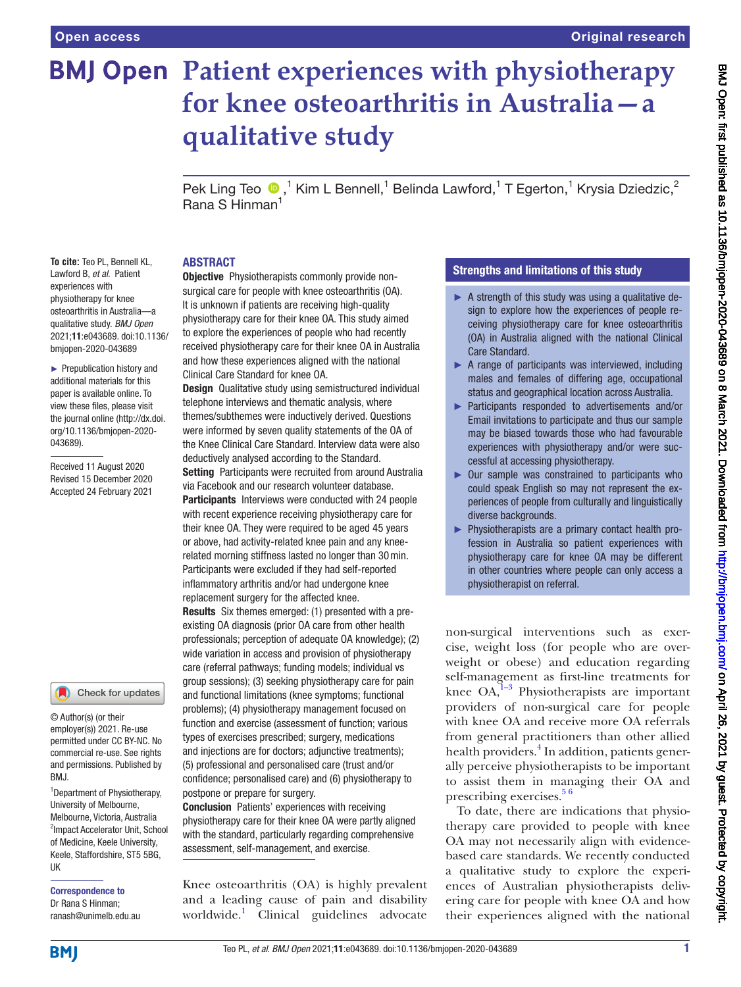# **BMJ Open Patient experiences with physiotherapy for knee osteoarthritis in Australia—a qualitative study**

PekLing Teo  $\bigcirc$ ,<sup>1</sup> Kim L Bennell,<sup>1</sup> Belinda Lawford,<sup>1</sup> T Egerton,<sup>1</sup> Krysia Dziedzic,<sup>2</sup> Rana S Hinman<sup>1</sup>

#### ABSTRACT

**To cite:** Teo PL, Bennell KL, Lawford B, *et al*. Patient experiences with physiotherapy for knee osteoarthritis in Australia—a qualitative study. *BMJ Open* 2021;11:e043689. doi:10.1136/ bmjopen-2020-043689

► Prepublication history and additional materials for this paper is available online. To view these files, please visit the journal online (http://dx.doi. org/10.1136/bmjopen-2020- 043689).

Received 11 August 2020 Revised 15 December 2020 Accepted 24 February 2021

#### Check for updates

© Author(s) (or their employer(s)) 2021. Re-use permitted under CC BY-NC. No commercial re-use. See rights and permissions. Published by RM<sub>J</sub>

<sup>1</sup>Department of Physiotherapy, University of Melbourne, Melbourne, Victoria, Australia <sup>2</sup>Impact Accelerator Unit, School of Medicine, Keele University, Keele, Staffordshire, ST5 5BG, UK

Correspondence to Dr Rana S Hinman; ranash@unimelb.edu.au

**Objective** Physiotherapists commonly provide nonsurgical care for people with knee osteoarthritis (OA). It is unknown if patients are receiving high-quality physiotherapy care for their knee OA. This study aimed to explore the experiences of people who had recently received physiotherapy care for their knee OA in Australia and how these experiences aligned with the national Clinical Care Standard for knee OA.

**Design** Qualitative study using semistructured individual telephone interviews and thematic analysis, where themes/subthemes were inductively derived. Questions were informed by seven quality statements of the OA of the Knee Clinical Care Standard. Interview data were also deductively analysed according to the Standard.

**Setting** Participants were recruited from around Australia via Facebook and our research volunteer database.

**Participants** Interviews were conducted with 24 people with recent experience receiving physiotherapy care for their knee OA. They were required to be aged 45 years or above, had activity-related knee pain and any kneerelated morning stiffness lasted no longer than 30min. Participants were excluded if they had self-reported inflammatory arthritis and/or had undergone knee replacement surgery for the affected knee.

Results Six themes emerged: (1) presented with a preexisting OA diagnosis (prior OA care from other health professionals; perception of adequate OA knowledge); (2) wide variation in access and provision of physiotherapy care (referral pathways; funding models; individual vs group sessions); (3) seeking physiotherapy care for pain and functional limitations (knee symptoms; functional problems); (4) physiotherapy management focused on function and exercise (assessment of function; various types of exercises prescribed; surgery, medications and injections are for doctors; adjunctive treatments); (5) professional and personalised care (trust and/or confidence; personalised care) and (6) physiotherapy to postpone or prepare for surgery.

Conclusion Patients' experiences with receiving physiotherapy care for their knee OA were partly aligned with the standard, particularly regarding comprehensive assessment, self-management, and exercise.

Knee osteoarthritis (OA) is highly prevalent and a leading cause of pain and disability worldwide.<sup>1</sup> Clinical guidelines advocate

# Strengths and limitations of this study

- $\blacktriangleright$  A strength of this study was using a qualitative design to explore how the experiences of people receiving physiotherapy care for knee osteoarthritis (OA) in Australia aligned with the national Clinical Care Standard.
- ► A range of participants was interviewed, including males and females of differing age, occupational status and geographical location across Australia.
- ► Participants responded to advertisements and/or Email invitations to participate and thus our sample may be biased towards those who had favourable experiences with physiotherapy and/or were successful at accessing physiotherapy.
- ► Our sample was constrained to participants who could speak English so may not represent the experiences of people from culturally and linguistically diverse backgrounds.
- ► Physiotherapists are a primary contact health profession in Australia so patient experiences with physiotherapy care for knee OA may be different in other countries where people can only access a physiotherapist on referral.

non-surgical interventions such as exercise, weight loss (for people who are overweight or obese) and education regarding self-management as first-line treatments for knee  $OA<sub>1</sub><sup>1-3</sup>$  Physiotherapists are important providers of non-surgical care for people with knee OA and receive more OA referrals from general practitioners than other allied health providers.<sup>[4](#page-12-1)</sup> In addition, patients generally perceive physiotherapists to be important to assist them in managing their OA and prescribing exercises.<sup>56</sup>

To date, there are indications that physiotherapy care provided to people with knee OA may not necessarily align with evidencebased care standards. We recently conducted a qualitative study to explore the experiences of Australian physiotherapists delivering care for people with knee OA and how their experiences aligned with the national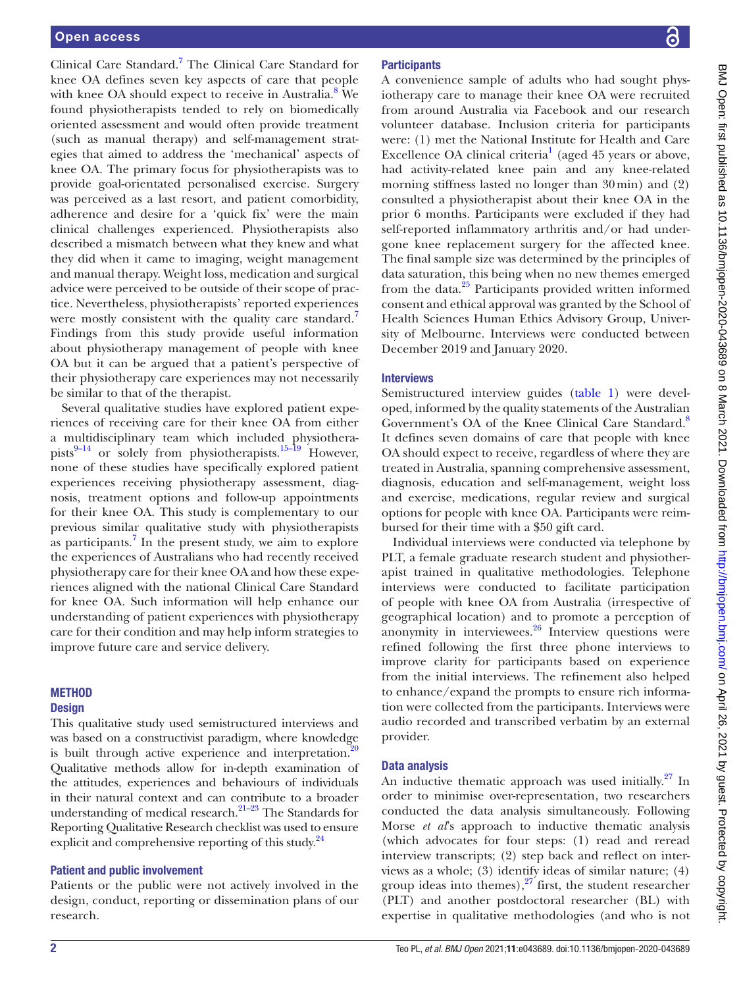Clinical Care Standard.<sup>[7](#page-12-3)</sup> The Clinical Care Standard for knee OA defines seven key aspects of care that people with knee OA should expect to receive in Australia.<sup>8</sup> We found physiotherapists tended to rely on biomedically oriented assessment and would often provide treatment (such as manual therapy) and self-management strategies that aimed to address the 'mechanical' aspects of knee OA. The primary focus for physiotherapists was to provide goal-orientated personalised exercise. Surgery was perceived as a last resort, and patient comorbidity, adherence and desire for a 'quick fix' were the main clinical challenges experienced. Physiotherapists also described a mismatch between what they knew and what they did when it came to imaging, weight management and manual therapy. Weight loss, medication and surgical advice were perceived to be outside of their scope of practice. Nevertheless, physiotherapists' reported experiences were mostly consistent with the quality care standard.<sup>[7](#page-12-3)</sup> Findings from this study provide useful information about physiotherapy management of people with knee OA but it can be argued that a patient's perspective of their physiotherapy care experiences may not necessarily be similar to that of the therapist.

Several qualitative studies have explored patient experiences of receiving care for their knee OA from either a multidisciplinary team which included physiotherapists $^{9-14}$  or solely from physiotherapists.<sup>15–19</sup> However, none of these studies have specifically explored patient experiences receiving physiotherapy assessment, diagnosis, treatment options and follow-up appointments for their knee OA. This study is complementary to our previous similar qualitative study with physiotherapists as participants.<sup>7</sup> In the present study, we aim to explore the experiences of Australians who had recently received physiotherapy care for their knee OA and how these experiences aligned with the national Clinical Care Standard for knee OA. Such information will help enhance our understanding of patient experiences with physiotherapy care for their condition and may help inform strategies to improve future care and service delivery.

#### **METHOD**

#### **Design**

This qualitative study used semistructured interviews and was based on a constructivist paradigm, where knowledge is built through active experience and interpretation.<sup>[20](#page-12-7)</sup> Qualitative methods allow for in-depth examination of the attitudes, experiences and behaviours of individuals in their natural context and can contribute to a broader understanding of medical research. $21-23$  The Standards for Reporting Qualitative Research checklist was used to ensure explicit and comprehensive reporting of this study.<sup>24</sup>

#### Patient and public involvement

Patients or the public were not actively involved in the design, conduct, reporting or dissemination plans of our research.

# **Participants**

A convenience sample of adults who had sought physiotherapy care to manage their knee OA were recruited from around Australia via Facebook and our research volunteer database. Inclusion criteria for participants were: (1) met the National Institute for Health and Care Excellence OA clinical criteria<sup>[1](#page-12-0)</sup> (aged  $45$  years or above, had activity-related knee pain and any knee-related morning stiffness lasted no longer than 30min) and (2) consulted a physiotherapist about their knee OA in the prior 6 months. Participants were excluded if they had self-reported inflammatory arthritis and/or had undergone knee replacement surgery for the affected knee. The final sample size was determined by the principles of data saturation, this being when no new themes emerged from the data.<sup>25</sup> Participants provided written informed consent and ethical approval was granted by the School of Health Sciences Human Ethics Advisory Group, University of Melbourne. Interviews were conducted between December 2019 and January 2020.

#### **Interviews**

Semistructured interview guides ([table](#page-2-0) 1) were developed, informed by the quality statements of the Australian Government's OA of the Knee Clinical Care Standard.<sup>8</sup> It defines seven domains of care that people with knee OA should expect to receive, regardless of where they are treated in Australia, spanning comprehensive assessment, diagnosis, education and self-management, weight loss and exercise, medications, regular review and surgical options for people with knee OA. Participants were reimbursed for their time with a \$50 gift card.

Individual interviews were conducted via telephone by PLT, a female graduate research student and physiotherapist trained in qualitative methodologies. Telephone interviews were conducted to facilitate participation of people with knee OA from Australia (irrespective of geographical location) and to promote a perception of anonymity in interviewees.<sup>[26](#page-12-11)</sup> Interview questions were refined following the first three phone interviews to improve clarity for participants based on experience from the initial interviews. The refinement also helped to enhance/expand the prompts to ensure rich information were collected from the participants. Interviews were audio recorded and transcribed verbatim by an external provider.

# Data analysis

An inductive thematic approach was used initially. $27 \text{ In}$ order to minimise over-representation, two researchers conducted the data analysis simultaneously. Following Morse *et al*'s approach to inductive thematic analysis (which advocates for four steps: (1) read and reread interview transcripts; (2) step back and reflect on interviews as a whole; (3) identify ideas of similar nature; (4) group ideas into themes), $27$  first, the student researcher (PLT) and another postdoctoral researcher (BL) with expertise in qualitative methodologies (and who is not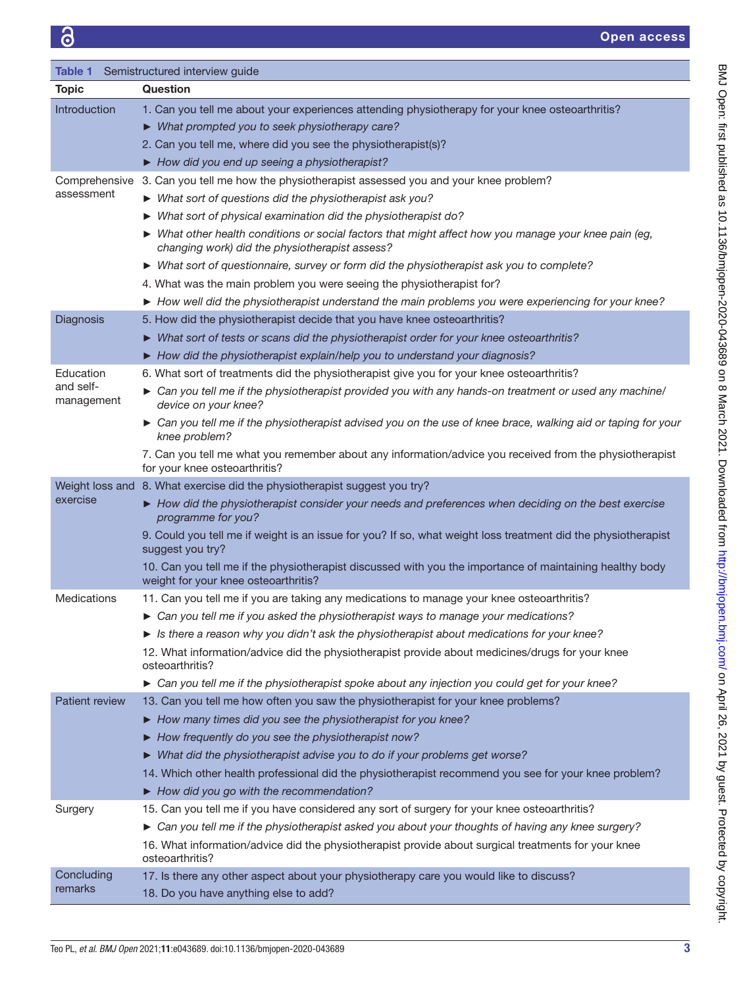<span id="page-2-0"></span>

| Table 1                 | Semistructured interview guide                                                                                                                          |
|-------------------------|---------------------------------------------------------------------------------------------------------------------------------------------------------|
| <b>Topic</b>            | Question                                                                                                                                                |
| Introduction            | 1. Can you tell me about your experiences attending physiotherapy for your knee osteoarthritis?                                                         |
|                         | > What prompted you to seek physiotherapy care?                                                                                                         |
|                         | 2. Can you tell me, where did you see the physiotherapist(s)?                                                                                           |
|                         | How did you end up seeing a physiotherapist?                                                                                                            |
| Comprehensive           | 3. Can you tell me how the physiotherapist assessed you and your knee problem?                                                                          |
| assessment              | $\triangleright$ What sort of questions did the physiotherapist ask you?                                                                                |
|                         | $\triangleright$ What sort of physical examination did the physiotherapist do?                                                                          |
|                         | ▶ What other health conditions or social factors that might affect how you manage your knee pain (eg,<br>changing work) did the physiotherapist assess? |
|                         | ► What sort of questionnaire, survey or form did the physiotherapist ask you to complete?                                                               |
|                         | 4. What was the main problem you were seeing the physiotherapist for?                                                                                   |
|                         | How well did the physiotherapist understand the main problems you were experiencing for your knee?                                                      |
| Diagnosis               | 5. How did the physiotherapist decide that you have knee osteoarthritis?                                                                                |
|                         | $\triangleright$ What sort of tests or scans did the physiotherapist order for your knee osteoarthritis?                                                |
|                         | How did the physiotherapist explain/help you to understand your diagnosis?                                                                              |
| Education               | 6. What sort of treatments did the physiotherapist give you for your knee osteoarthritis?                                                               |
| and self-<br>management | ► Can you tell me if the physiotherapist provided you with any hands-on treatment or used any machine/<br>device on your knee?                          |
|                         | ► Can you tell me if the physiotherapist advised you on the use of knee brace, walking aid or taping for your<br>knee problem?                          |
|                         | 7. Can you tell me what you remember about any information/advice you received from the physiotherapist<br>for your knee osteoarthritis?                |
|                         | Weight loss and 8. What exercise did the physiotherapist suggest you try?                                                                               |
| exercise                | ▶ How did the physiotherapist consider your needs and preferences when deciding on the best exercise<br>programme for you?                              |
|                         | 9. Could you tell me if weight is an issue for you? If so, what weight loss treatment did the physiotherapist<br>suggest you try?                       |
|                         | 10. Can you tell me if the physiotherapist discussed with you the importance of maintaining healthy body<br>weight for your knee osteoarthritis?        |
| <b>Medications</b>      | 11. Can you tell me if you are taking any medications to manage your knee osteoarthritis?                                                               |
|                         | ► Can you tell me if you asked the physiotherapist ways to manage your medications?                                                                     |
|                         | $\triangleright$ Is there a reason why you didn't ask the physiotherapist about medications for your knee?                                              |
|                         | 12. What information/advice did the physiotherapist provide about medicines/drugs for your knee<br>osteoarthritis?                                      |
|                         | ► Can you tell me if the physiotherapist spoke about any injection you could get for your knee?                                                         |
| Patient review          | 13. Can you tell me how often you saw the physiotherapist for your knee problems?                                                                       |
|                         | How many times did you see the physiotherapist for you knee?                                                                                            |
|                         | $\blacktriangleright$ How frequently do you see the physiotherapist now?                                                                                |
|                         | > What did the physiotherapist advise you to do if your problems get worse?                                                                             |
|                         | 14. Which other health professional did the physiotherapist recommend you see for your knee problem?                                                    |
|                         | How did you go with the recommendation?                                                                                                                 |
| Surgery                 | 15. Can you tell me if you have considered any sort of surgery for your knee osteoarthritis?                                                            |
|                         | > Can you tell me if the physiotherapist asked you about your thoughts of having any knee surgery?                                                      |
|                         | 16. What information/advice did the physiotherapist provide about surgical treatments for your knee<br>osteoarthritis?                                  |
| Concluding              | 17. Is there any other aspect about your physiotherapy care you would like to discuss?                                                                  |
| remarks                 | 18. Do you have anything else to add?                                                                                                                   |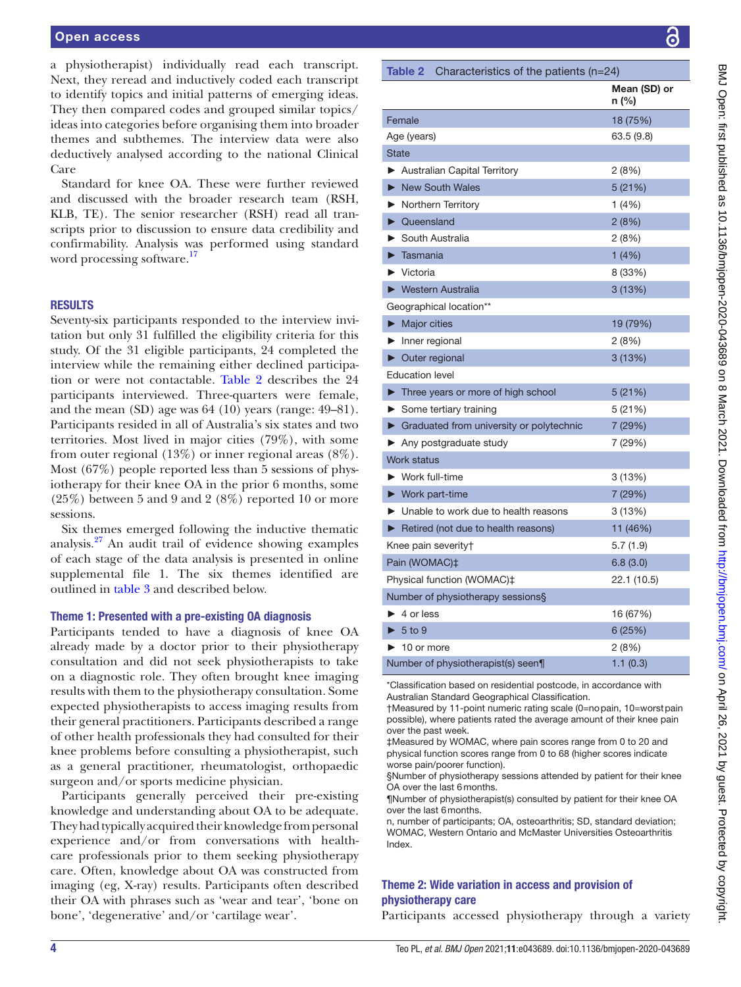a physiotherapist) individually read each transcript. Next, they reread and inductively coded each transcript to identify topics and initial patterns of emerging ideas. They then compared codes and grouped similar topics/ ideas into categories before organising them into broader themes and subthemes. The interview data were also deductively analysed according to the national Clinical Care

Standard for knee OA. These were further reviewed and discussed with the broader research team (RSH, KLB, TE). The senior researcher (RSH) read all transcripts prior to discussion to ensure data credibility and confirmability. Analysis was performed using standard word processing software.<sup>17</sup>

#### RESULTS

Seventy-six participants responded to the interview invitation but only 31 fulfilled the eligibility criteria for this study. Of the 31 eligible participants, 24 completed the interview while the remaining either declined participation or were not contactable. [Table](#page-3-0) 2 describes the 24 participants interviewed. Three-quarters were female, and the mean (SD) age was 64 (10) years (range: 49–81). Participants resided in all of Australia's six states and two territories. Most lived in major cities (79%), with some from outer regional (13%) or inner regional areas (8%). Most (67%) people reported less than 5 sessions of physiotherapy for their knee OA in the prior 6 months, some (25%) between 5 and 9 and 2 (8%) reported 10 or more sessions.

Six themes emerged following the inductive thematic analysis.[27](#page-12-12) An audit trail of evidence showing examples of each stage of the data analysis is presented in [online](https://dx.doi.org/10.1136/bmjopen-2020-043689) [supplemental file 1](https://dx.doi.org/10.1136/bmjopen-2020-043689). The six themes identified are outlined in [table](#page-4-0) 3 and described below.

#### Theme 1: Presented with a pre-existing OA diagnosis

Participants tended to have a diagnosis of knee OA already made by a doctor prior to their physiotherapy consultation and did not seek physiotherapists to take on a diagnostic role. They often brought knee imaging results with them to the physiotherapy consultation. Some expected physiotherapists to access imaging results from their general practitioners. Participants described a range of other health professionals they had consulted for their knee problems before consulting a physiotherapist, such as a general practitioner, rheumatologist, orthopaedic surgeon and/or sports medicine physician.

Participants generally perceived their pre-existing knowledge and understanding about OA to be adequate. They had typically acquired their knowledge from personal experience and/or from conversations with healthcare professionals prior to them seeking physiotherapy care. Often, knowledge about OA was constructed from imaging (eg, X-ray) results. Participants often described their OA with phrases such as 'wear and tear', 'bone on bone', 'degenerative' and/or 'cartilage wear'.

<span id="page-3-0"></span>

|        | <b>Table 2</b> Characteristics of the patients $(n=24)$   |                       |
|--------|-----------------------------------------------------------|-----------------------|
|        |                                                           | Mean (SD) or<br>n (%) |
| Female |                                                           | 18 (75%)              |
|        | Age (years)                                               | 63.5 (9.8)            |
|        | <b>State</b>                                              |                       |
|        | Australian Capital Territory                              | 2(8%)                 |
|        | New South Wales                                           | 5 (21%)               |
|        | Northern Territory                                        | 1(4%)                 |
|        | • Queensland                                              | 2(8%)                 |
|        | South Australia                                           | 2 (8%)                |
| ▶      | Tasmania                                                  | 1(4%)                 |
|        | $\blacktriangleright$ Victoria                            | 8 (33%)               |
|        | ▶ Western Australia                                       | 3 (13%)               |
|        | Geographical location**                                   |                       |
|        | $\blacktriangleright$ Major cities                        | 19 (79%)              |
|        | $\blacktriangleright$ Inner regional                      | 2(8%)                 |
|        | $\triangleright$ Outer regional                           | 3 (13%)               |
|        | <b>Education level</b>                                    |                       |
|        | $\blacktriangleright$ Three years or more of high school  | 5 (21%)               |
|        | $\triangleright$ Some tertiary training                   | 5(21%)                |
|        | ▶ Graduated from university or polytechnic                | 7 (29%)               |
|        | $\blacktriangleright$ Any postgraduate study              | 7 (29%)               |
|        | <b>Work status</b>                                        |                       |
|        | $\blacktriangleright$ Work full-time                      | 3(13%)                |
|        | $\blacktriangleright$ Work part-time                      | 7 (29%)               |
|        | • Unable to work due to health reasons                    | 3 (13%)               |
|        | $\blacktriangleright$ Retired (not due to health reasons) | 11 (46%)              |
|        | Knee pain severity†                                       | 5.7 (1.9)             |
|        | Pain (WOMAC)‡                                             | 6.8(3.0)              |
|        | Physical function (WOMAC)‡                                | 22.1 (10.5)           |
|        | Number of physiotherapy sessions§                         |                       |
|        | $\blacktriangleright$ 4 or less                           | 16 (67%)              |
|        | $\blacktriangleright$ 5 to 9                              | 6(25%)                |
|        | $\blacktriangleright$ 10 or more                          | 2 (8%)                |
|        | Number of physiotherapist(s) seen¶                        | 1.1(0.3)              |

\*Classification based on residential postcode, in accordance with Australian Standard Geographical Classification.

†Measured by 11-point numeric rating scale (0=nopain, 10=worstpain possible), where patients rated the average amount of their knee pain over the past week.

‡Measured by WOMAC, where pain scores range from 0 to 20 and physical function scores range from 0 to 68 (higher scores indicate worse pain/poorer function).

§Number of physiotherapy sessions attended by patient for their knee OA over the last 6months.

¶Number of physiotherapist(s) consulted by patient for their knee OA over the last 6months.

n, number of participants; OA, osteoarthritis; SD, standard deviation; WOMAC, Western Ontario and McMaster Universities Osteoarthritis Index.

# Theme 2: Wide variation in access and provision of physiotherapy care

Participants accessed physiotherapy through a variety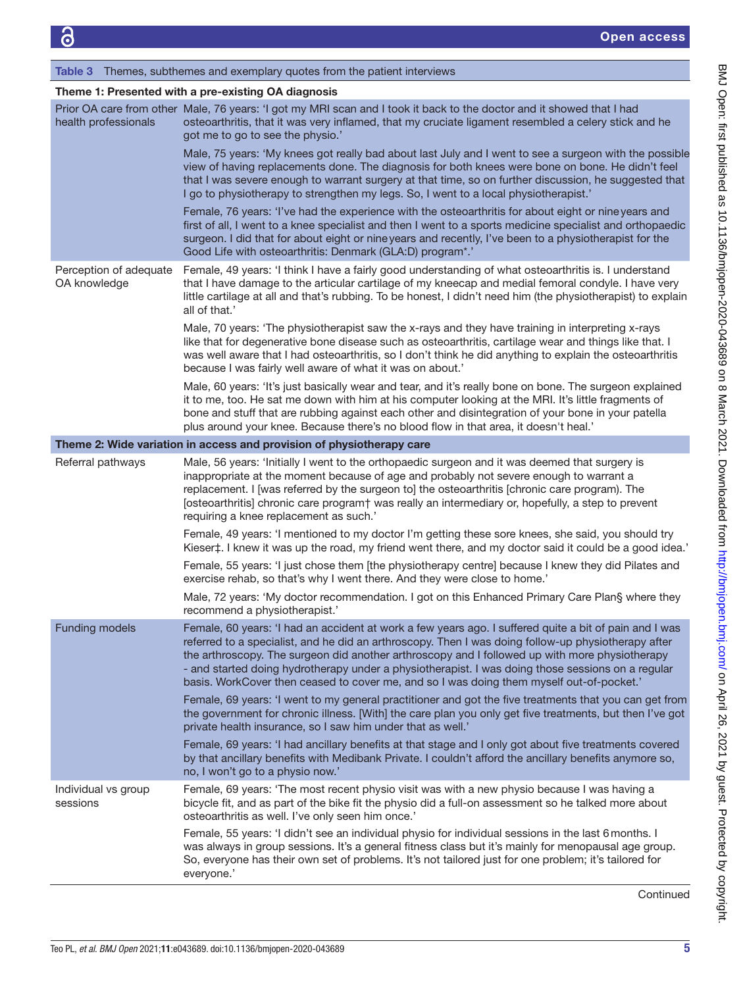#### <span id="page-4-0"></span>Table 3 Themes, subthemes and exemplary quotes from the patient interviews

#### Theme 1: Presented with a pre-existing OA diagnosis

| health professionals                   | Prior OA care from other Male, 76 years: 'I got my MRI scan and I took it back to the doctor and it showed that I had<br>osteoarthritis, that it was very inflamed, that my cruciate ligament resembled a celery stick and he<br>got me to go to see the physio.'                                                                                                                                                                                                                                                |
|----------------------------------------|------------------------------------------------------------------------------------------------------------------------------------------------------------------------------------------------------------------------------------------------------------------------------------------------------------------------------------------------------------------------------------------------------------------------------------------------------------------------------------------------------------------|
|                                        | Male, 75 years: 'My knees got really bad about last July and I went to see a surgeon with the possible<br>view of having replacements done. The diagnosis for both knees were bone on bone. He didn't feel<br>that I was severe enough to warrant surgery at that time, so on further discussion, he suggested that<br>I go to physiotherapy to strengthen my legs. So, I went to a local physiotherapist.'                                                                                                      |
|                                        | Female, 76 years: 'I've had the experience with the osteoarthritis for about eight or nine years and<br>first of all, I went to a knee specialist and then I went to a sports medicine specialist and orthopaedic<br>surgeon. I did that for about eight or nine years and recently, I've been to a physiotherapist for the<br>Good Life with osteoarthritis: Denmark (GLA:D) program*.'                                                                                                                         |
| Perception of adequate<br>OA knowledge | Female, 49 years: 'I think I have a fairly good understanding of what osteoarthritis is. I understand<br>that I have damage to the articular cartilage of my kneecap and medial femoral condyle. I have very<br>little cartilage at all and that's rubbing. To be honest, I didn't need him (the physiotherapist) to explain<br>all of that.'                                                                                                                                                                    |
|                                        | Male, 70 years: 'The physiotherapist saw the x-rays and they have training in interpreting x-rays<br>like that for degenerative bone disease such as osteoarthritis, cartilage wear and things like that. I<br>was well aware that I had osteoarthritis, so I don't think he did anything to explain the osteoarthritis<br>because I was fairly well aware of what it was on about.'                                                                                                                             |
|                                        | Male, 60 years: 'It's just basically wear and tear, and it's really bone on bone. The surgeon explained<br>it to me, too. He sat me down with him at his computer looking at the MRI. It's little fragments of<br>bone and stuff that are rubbing against each other and disintegration of your bone in your patella<br>plus around your knee. Because there's no blood flow in that area, it doesn't heal.'                                                                                                     |
|                                        | Theme 2: Wide variation in access and provision of physiotherapy care                                                                                                                                                                                                                                                                                                                                                                                                                                            |
| Referral pathways                      | Male, 56 years: 'Initially I went to the orthopaedic surgeon and it was deemed that surgery is<br>inappropriate at the moment because of age and probably not severe enough to warrant a<br>replacement. I [was referred by the surgeon to] the osteoarthritis [chronic care program). The<br>[osteoarthritis] chronic care program† was really an intermediary or, hopefully, a step to prevent<br>requiring a knee replacement as such.'                                                                       |
|                                        | Female, 49 years: 'I mentioned to my doctor I'm getting these sore knees, she said, you should try<br>Kieser‡. I knew it was up the road, my friend went there, and my doctor said it could be a good idea.'                                                                                                                                                                                                                                                                                                     |
|                                        | Female, 55 years: 'I just chose them [the physiotherapy centre] because I knew they did Pilates and<br>exercise rehab, so that's why I went there. And they were close to home.'                                                                                                                                                                                                                                                                                                                                 |
|                                        | Male, 72 years: 'My doctor recommendation. I got on this Enhanced Primary Care Plan§ where they<br>recommend a physiotherapist.'                                                                                                                                                                                                                                                                                                                                                                                 |
| <b>Funding models</b>                  | Female, 60 years: 'I had an accident at work a few years ago. I suffered quite a bit of pain and I was<br>referred to a specialist, and he did an arthroscopy. Then I was doing follow-up physiotherapy after<br>the arthroscopy. The surgeon did another arthroscopy and I followed up with more physiotherapy<br>- and started doing hydrotherapy under a physiotherapist. I was doing those sessions on a regular<br>basis. WorkCover then ceased to cover me, and so I was doing them myself out-of-pocket.' |
|                                        | Female, 69 years: 'I went to my general practitioner and got the five treatments that you can get from<br>the government for chronic illness. [With] the care plan you only get five treatments, but then I've got<br>private health insurance, so I saw him under that as well.'                                                                                                                                                                                                                                |
|                                        | Female, 69 years: 'I had ancillary benefits at that stage and I only got about five treatments covered<br>by that ancillary benefits with Medibank Private. I couldn't afford the ancillary benefits anymore so,<br>no, I won't go to a physio now.'                                                                                                                                                                                                                                                             |
| Individual vs group<br>sessions        | Female, 69 years: 'The most recent physio visit was with a new physio because I was having a<br>bicycle fit, and as part of the bike fit the physio did a full-on assessment so he talked more about<br>osteoarthritis as well. I've only seen him once.'                                                                                                                                                                                                                                                        |
|                                        | Female, 55 years: 'I didn't see an individual physio for individual sessions in the last 6 months. I<br>was always in group sessions. It's a general fitness class but it's mainly for menopausal age group.<br>So, everyone has their own set of problems. It's not tailored just for one problem; it's tailored for<br>everyone.'                                                                                                                                                                              |

**Continued**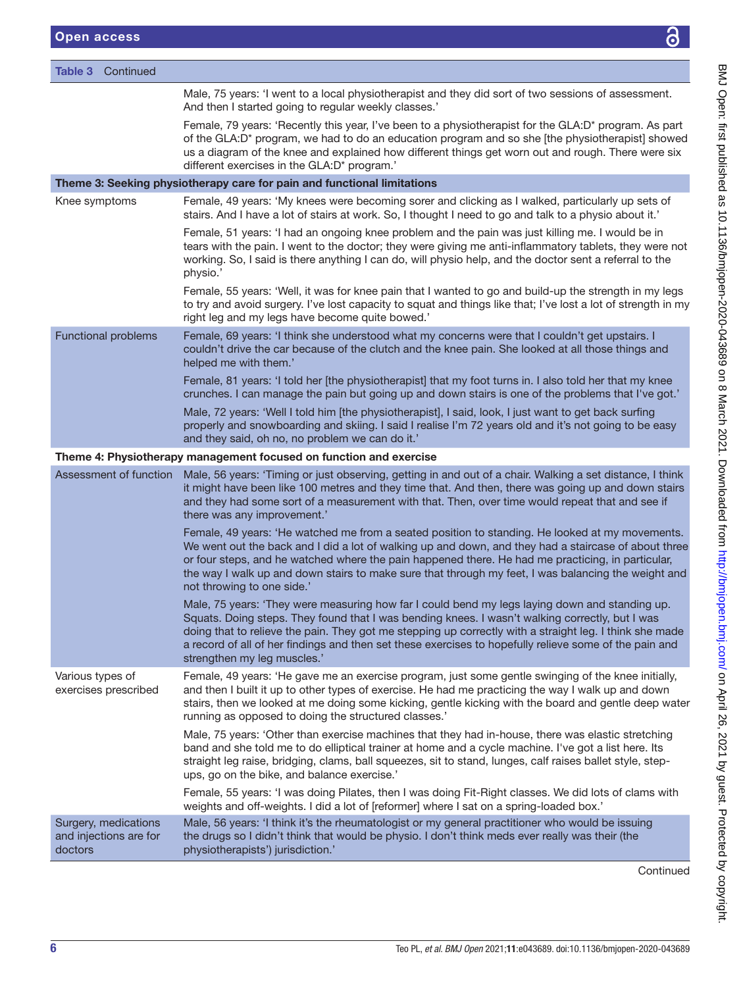| <b>Table 3</b> Continued                                  |                                                                                                                                                                                                                                                                                                                                                                                                                                                       |
|-----------------------------------------------------------|-------------------------------------------------------------------------------------------------------------------------------------------------------------------------------------------------------------------------------------------------------------------------------------------------------------------------------------------------------------------------------------------------------------------------------------------------------|
|                                                           | Male, 75 years: 'I went to a local physiotherapist and they did sort of two sessions of assessment.<br>And then I started going to regular weekly classes.'                                                                                                                                                                                                                                                                                           |
|                                                           | Female, 79 years: 'Recently this year, I've been to a physiotherapist for the GLA:D* program. As part<br>of the GLA:D* program, we had to do an education program and so she [the physiotherapist] showed<br>us a diagram of the knee and explained how different things get worn out and rough. There were six<br>different exercises in the GLA:D* program.'                                                                                        |
|                                                           | Theme 3: Seeking physiotherapy care for pain and functional limitations                                                                                                                                                                                                                                                                                                                                                                               |
| Knee symptoms                                             | Female, 49 years: 'My knees were becoming sorer and clicking as I walked, particularly up sets of<br>stairs. And I have a lot of stairs at work. So, I thought I need to go and talk to a physio about it.'                                                                                                                                                                                                                                           |
|                                                           | Female, 51 years: 'I had an ongoing knee problem and the pain was just killing me. I would be in<br>tears with the pain. I went to the doctor; they were giving me anti-inflammatory tablets, they were not<br>working. So, I said is there anything I can do, will physio help, and the doctor sent a referral to the<br>physio.'                                                                                                                    |
|                                                           | Female, 55 years: 'Well, it was for knee pain that I wanted to go and build-up the strength in my legs<br>to try and avoid surgery. I've lost capacity to squat and things like that; I've lost a lot of strength in my<br>right leg and my legs have become quite bowed.'                                                                                                                                                                            |
| <b>Functional problems</b>                                | Female, 69 years: 'I think she understood what my concerns were that I couldn't get upstairs. I<br>couldn't drive the car because of the clutch and the knee pain. She looked at all those things and<br>helped me with them.'                                                                                                                                                                                                                        |
|                                                           | Female, 81 years: 'I told her [the physiotherapist] that my foot turns in. I also told her that my knee<br>crunches. I can manage the pain but going up and down stairs is one of the problems that I've got.'                                                                                                                                                                                                                                        |
|                                                           | Male, 72 years: 'Well I told him [the physiotherapist], I said, look, I just want to get back surfing<br>properly and snowboarding and skiing. I said I realise I'm 72 years old and it's not going to be easy<br>and they said, oh no, no problem we can do it.'                                                                                                                                                                                     |
|                                                           | Theme 4: Physiotherapy management focused on function and exercise                                                                                                                                                                                                                                                                                                                                                                                    |
|                                                           | Assessment of function Male, 56 years: 'Timing or just observing, getting in and out of a chair. Walking a set distance, I think<br>it might have been like 100 metres and they time that. And then, there was going up and down stairs<br>and they had some sort of a measurement with that. Then, over time would repeat that and see if<br>there was any improvement.'                                                                             |
|                                                           | Female, 49 years: 'He watched me from a seated position to standing. He looked at my movements.<br>We went out the back and I did a lot of walking up and down, and they had a staircase of about three<br>or four steps, and he watched where the pain happened there. He had me practicing, in particular,<br>the way I walk up and down stairs to make sure that through my feet, I was balancing the weight and<br>not throwing to one side.'     |
|                                                           | Male, 75 years: 'They were measuring how far I could bend my legs laying down and standing up.<br>Squats. Doing steps. They found that I was bending knees. I wasn't walking correctly, but I was<br>doing that to relieve the pain. They got me stepping up correctly with a straight leg. I think she made<br>a record of all of her findings and then set these exercises to hopefully relieve some of the pain and<br>strengthen my leg muscles.' |
| Various types of<br>exercises prescribed                  | Female, 49 years: 'He gave me an exercise program, just some gentle swinging of the knee initially,<br>and then I built it up to other types of exercise. He had me practicing the way I walk up and down<br>stairs, then we looked at me doing some kicking, gentle kicking with the board and gentle deep water<br>running as opposed to doing the structured classes.'                                                                             |
|                                                           | Male, 75 years: 'Other than exercise machines that they had in-house, there was elastic stretching<br>band and she told me to do elliptical trainer at home and a cycle machine. I've got a list here. Its<br>straight leg raise, bridging, clams, ball squeezes, sit to stand, lunges, calf raises ballet style, step-<br>ups, go on the bike, and balance exercise.'                                                                                |
|                                                           | Female, 55 years: 'I was doing Pilates, then I was doing Fit-Right classes. We did lots of clams with<br>weights and off-weights. I did a lot of [reformer] where I sat on a spring-loaded box.'                                                                                                                                                                                                                                                      |
| Surgery, medications<br>and injections are for<br>doctors | Male, 56 years: 'I think it's the rheumatologist or my general practitioner who would be issuing<br>the drugs so I didn't think that would be physio. I don't think meds ever really was their (the<br>physiotherapists') jurisdiction.'                                                                                                                                                                                                              |
|                                                           | Continued                                                                                                                                                                                                                                                                                                                                                                                                                                             |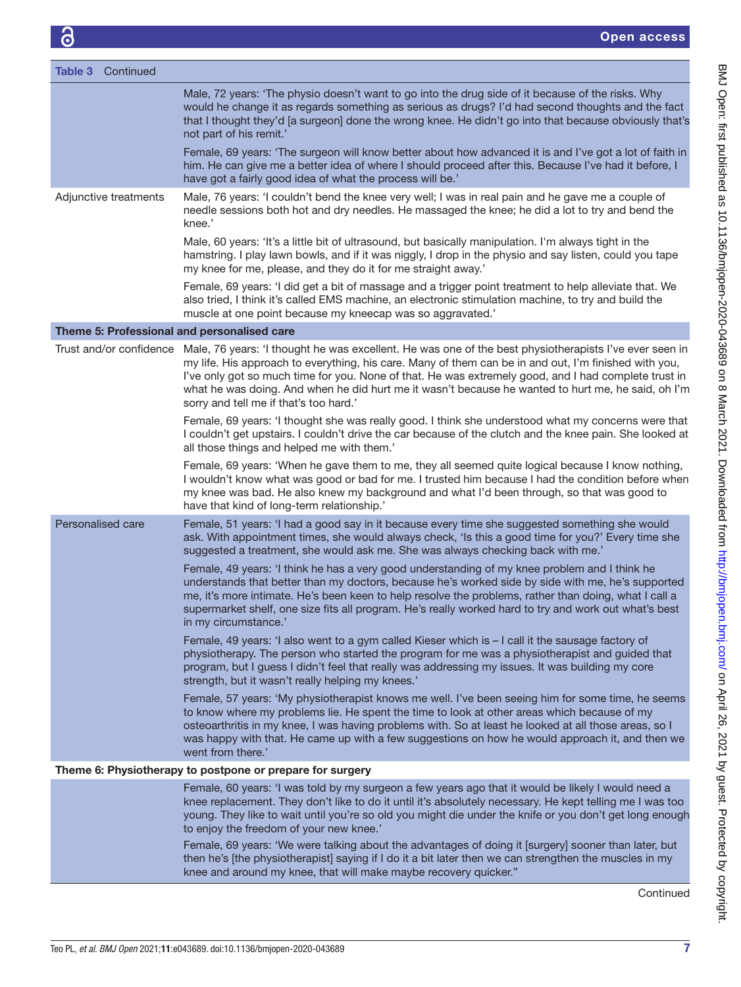| Table 3<br>Continued                        |                                                                                                                                                                                                                                                                                                                                                                                                                                                                                                 |
|---------------------------------------------|-------------------------------------------------------------------------------------------------------------------------------------------------------------------------------------------------------------------------------------------------------------------------------------------------------------------------------------------------------------------------------------------------------------------------------------------------------------------------------------------------|
|                                             | Male, 72 years: 'The physio doesn't want to go into the drug side of it because of the risks. Why<br>would he change it as regards something as serious as drugs? I'd had second thoughts and the fact<br>that I thought they'd [a surgeon] done the wrong knee. He didn't go into that because obviously that's<br>not part of his remit.'                                                                                                                                                     |
|                                             | Female, 69 years: 'The surgeon will know better about how advanced it is and I've got a lot of faith in<br>him. He can give me a better idea of where I should proceed after this. Because I've had it before, I<br>have got a fairly good idea of what the process will be.'                                                                                                                                                                                                                   |
| Adjunctive treatments                       | Male, 76 years: 'I couldn't bend the knee very well; I was in real pain and he gave me a couple of<br>needle sessions both hot and dry needles. He massaged the knee; he did a lot to try and bend the<br>knee.'                                                                                                                                                                                                                                                                                |
|                                             | Male, 60 years: 'It's a little bit of ultrasound, but basically manipulation. I'm always tight in the<br>hamstring. I play lawn bowls, and if it was niggly, I drop in the physio and say listen, could you tape<br>my knee for me, please, and they do it for me straight away.'                                                                                                                                                                                                               |
|                                             | Female, 69 years: 'I did get a bit of massage and a trigger point treatment to help alleviate that. We<br>also tried, I think it's called EMS machine, an electronic stimulation machine, to try and build the<br>muscle at one point because my kneecap was so aggravated.'                                                                                                                                                                                                                    |
| Theme 5: Professional and personalised care |                                                                                                                                                                                                                                                                                                                                                                                                                                                                                                 |
|                                             | Trust and/or confidence Male, 76 years: 'I thought he was excellent. He was one of the best physiotherapists I've ever seen in<br>my life. His approach to everything, his care. Many of them can be in and out, I'm finished with you,<br>I've only got so much time for you. None of that. He was extremely good, and I had complete trust in<br>what he was doing. And when he did hurt me it wasn't because he wanted to hurt me, he said, oh I'm<br>sorry and tell me if that's too hard.' |
|                                             | Female, 69 years: 'I thought she was really good. I think she understood what my concerns were that<br>I couldn't get upstairs. I couldn't drive the car because of the clutch and the knee pain. She looked at<br>all those things and helped me with them.'                                                                                                                                                                                                                                   |
|                                             | Female, 69 years: 'When he gave them to me, they all seemed quite logical because I know nothing,<br>I wouldn't know what was good or bad for me. I trusted him because I had the condition before when<br>my knee was bad. He also knew my background and what I'd been through, so that was good to<br>have that kind of long-term relationship.'                                                                                                                                             |
| Personalised care                           | Female, 51 years: 'I had a good say in it because every time she suggested something she would<br>ask. With appointment times, she would always check, 'Is this a good time for you?' Every time she<br>suggested a treatment, she would ask me. She was always checking back with me.'                                                                                                                                                                                                         |
|                                             | Female, 49 years: 'I think he has a very good understanding of my knee problem and I think he<br>understands that better than my doctors, because he's worked side by side with me, he's supported<br>me, it's more intimate. He's been keen to help resolve the problems, rather than doing, what I call a<br>supermarket shelf, one size fits all program. He's really worked hard to try and work out what's best<br>in my circumstance.'                                                    |
|                                             | Female, 49 years: 'I also went to a gym called Kieser which is - I call it the sausage factory of<br>physiotherapy. The person who started the program for me was a physiotherapist and guided that<br>program, but I guess I didn't feel that really was addressing my issues. It was building my core<br>strength, but it wasn't really helping my knees.'                                                                                                                                    |
|                                             | Female, 57 years: 'My physiotherapist knows me well. I've been seeing him for some time, he seems<br>to know where my problems lie. He spent the time to look at other areas which because of my<br>osteoarthritis in my knee, I was having problems with. So at least he looked at all those areas, so I<br>was happy with that. He came up with a few suggestions on how he would approach it, and then we<br>went from there.'                                                               |
|                                             | Theme 6: Physiotherapy to postpone or prepare for surgery                                                                                                                                                                                                                                                                                                                                                                                                                                       |
|                                             | Female, 60 years: 'I was told by my surgeon a few years ago that it would be likely I would need a<br>knee replacement. They don't like to do it until it's absolutely necessary. He kept telling me I was too<br>young. They like to wait until you're so old you might die under the knife or you don't get long enough<br>to enjoy the freedom of your new knee.'                                                                                                                            |
|                                             | Female, 69 years: 'We were talking about the advantages of doing it [surgery] sooner than later, but<br>then he's [the physiotherapist] saying if I do it a bit later then we can strengthen the muscles in my<br>knee and around my knee, that will make maybe recovery quicker."                                                                                                                                                                                                              |

Continued

BMJ Open: first published as 10.1136/bmjopen-2020-043689 on 8 March 2021. Downloaded from <http://bmjopen.bmj.com/> on April 26, 2021 by guest. Protected by copyright.

BMJ Open: first published as 10.1136/bmjopen-2020-043689 on 8 March 2021. Downloaded from http://bmjopen.bmj.com/ on April 26, 2021 by guest. Protected by copyright.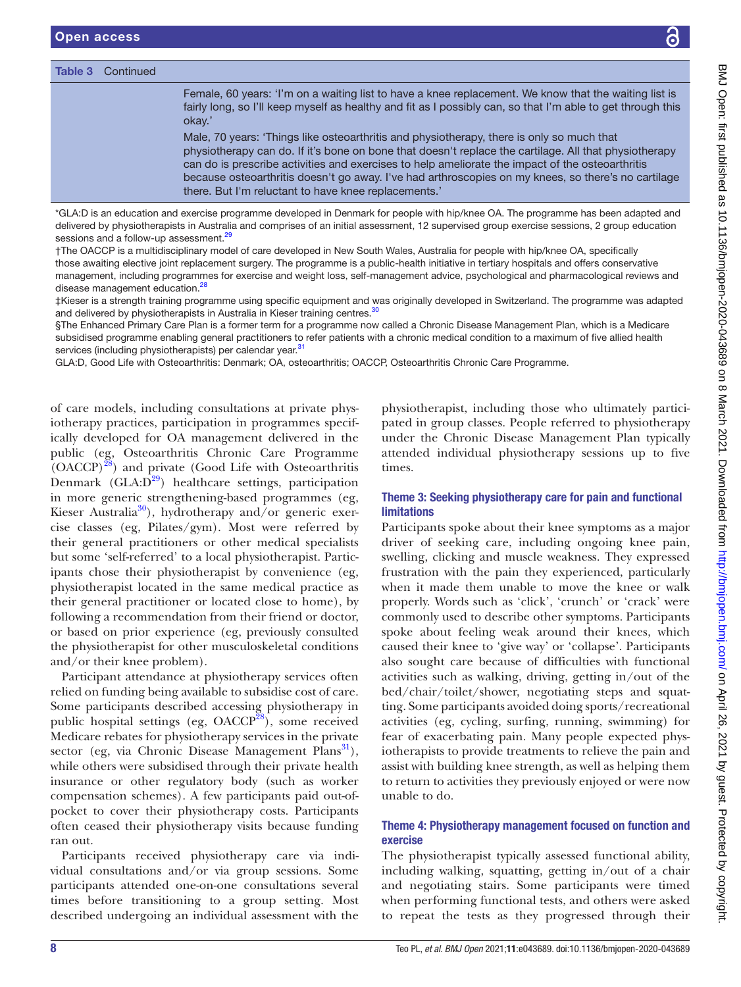Table 3 Continued

|                                                                                                                                                                                                              | $\checkmark$                                                                                                                                                                                                                                                                                                                                                                                                  |  |  |  |
|--------------------------------------------------------------------------------------------------------------------------------------------------------------------------------------------------------------|---------------------------------------------------------------------------------------------------------------------------------------------------------------------------------------------------------------------------------------------------------------------------------------------------------------------------------------------------------------------------------------------------------------|--|--|--|
|                                                                                                                                                                                                              |                                                                                                                                                                                                                                                                                                                                                                                                               |  |  |  |
| okay.'                                                                                                                                                                                                       | Female, 60 years: 'I'm on a waiting list to have a knee replacement. We know that the waiting list is<br>fairly long, so I'll keep myself as healthy and fit as I possibly can, so that I'm able to get through this                                                                                                                                                                                          |  |  |  |
| there. But I'm reluctant to have knee replacements.'                                                                                                                                                         | Male, 70 years: 'Things like osteoarthritis and physiotherapy, there is only so much that<br>physiotherapy can do. If it's bone on bone that doesn't replace the cartilage. All that physiotherapy<br>can do is prescribe activities and exercises to help ameliorate the impact of the osteoarthritis<br>because osteoarthritis doesn't go away. I've had arthroscopies on my knees, so there's no cartilage |  |  |  |
| sessment. <sup>29</sup>                                                                                                                                                                                      | exercise programme developed in Denmark for people with hip/knee OA. The programme has been adapted and<br>s in Australia and comprises of an initial assessment, 12 supervised group exercise sessions, 2 group education                                                                                                                                                                                    |  |  |  |
| tion. <sup>28</sup>                                                                                                                                                                                          | linary model of care developed in New South Wales, Australia for people with hip/knee OA, specifically<br>replacement surgery. The programme is a public-health initiative in tertiary hospitals and offers conservative<br>rammes for exercise and weight loss, self-management advice, psychological and pharmacological reviews and                                                                        |  |  |  |
| pists in Australia in Kieser training centres. <sup>30</sup>                                                                                                                                                 | programme using specific equipment and was originally developed in Switzerland. The programme was adapted<br>e Plan is a former term for a programme now called a Chronic Disease Management Plan, which is a Medicare                                                                                                                                                                                        |  |  |  |
| rapists) per calendar year. <sup>31</sup>                                                                                                                                                                    | ling general practitioners to refer patients with a chronic medical condition to a maximum of five allied health                                                                                                                                                                                                                                                                                              |  |  |  |
| parthritis: Denmark; OA, osteoarthritis; OACCP, Osteoarthritis Chronic Care Programme.                                                                                                                       |                                                                                                                                                                                                                                                                                                                                                                                                               |  |  |  |
| ng consultations at private phys-<br>ticipation in programmes specif-<br>management delivered in the<br>itis Chronic Care Programme<br>e (Good Life with Osteoarthritis<br>ealthcare settings, participation | physiotherapist, including those who ultimately partici-<br>pated in group classes. People referred to physiotherapy<br>under the Chronic Disease Management Plan typically<br>attended individual physiotherapy sessions up to five<br>times.                                                                                                                                                                |  |  |  |
| thening-based programmes (eg,<br>rotherapy and/or generic exer-                                                                                                                                              | Theme 3: Seeking physiotherapy care for pain and functional<br><b>limitations</b>                                                                                                                                                                                                                                                                                                                             |  |  |  |
| /gym). Most were referred by<br>ers or other medical specialists<br>to a local physiotherapist. Partic-<br>iotherapist by convenience (eg,<br>in the same medical practice as                                | Participants spoke about their knee symptoms as a major<br>driver of seeking care, including ongoing knee pain,<br>swelling, clicking and muscle weakness. They expressed<br>frustration with the pain they experienced, particularly<br>when it made them unable to move the knee or walk                                                                                                                    |  |  |  |

driver of seeking care, including ongoing knee pain, swelling, clicking and muscle weakness. They expressed frustration with the pain they experienced, particularly when it made them unable to move the knee or walk properly. Words such as 'click', 'crunch' or 'crack' were commonly used to describe other symptoms. Participants spoke about feeling weak around their knees, which caused their knee to 'give way' or 'collapse'. Participants also sought care because of difficulties with functional activities such as walking, driving, getting in/out of the bed/chair/toilet/shower, negotiating steps and squatting. Some participants avoided doing sports/recreational activities (eg, cycling, surfing, running, swimming) for fear of exacerbating pain. Many people expected physiotherapists to provide treatments to relieve the pain and assist with building knee strength, as well as helping them to return to activities they previously enjoyed or were now unable to do.

# Theme 4: Physiotherapy management focused on function and exercise

The physiotherapist typically assessed functional ability, including walking, squatting, getting in/out of a chair and negotiating stairs. Some participants were timed when performing functional tests, and others were asked to repeat the tests as they progressed through their

| there. Dut I in relactant to have knee replacements.                                                                                                                                                                                                                              |
|-----------------------------------------------------------------------------------------------------------------------------------------------------------------------------------------------------------------------------------------------------------------------------------|
| *GLA:D is an education and exercise programme developed in Denmark for people with hip/knee OA. The programme has been adapted and<br>delivered by physiotherapists in Australia and comprises of an initial assessment, 12 supervised group exercise sessions, 2 group education |
| sessions and a follow-up assessment. <sup>29</sup>                                                                                                                                                                                                                                |

†The OACCP is a multidisciplinary model of care developed in New South Wal those awaiting elective joint replacement surgery. The programme is a public-health management, including programmes for exercise and weight loss, self-manage disease management education.<sup>[28](#page-12-14)</sup>

‡Kieser is a strength training programme using specific equipment and was originally developed in Switzerland. The programme was adapted and delivered by physiotherapists in Australia in Kieser training centres.<sup>[30](#page-12-16)</sup>

§The Enhanced Primary Care Plan is a former term for a programme now calle subsidised programme enabling general practitioners to refer patients with a c services (including physiotherapists) per calendar year.<sup>31</sup>

GLA:D, Good Life with Osteoarthritis: Denmark; OA, osteoarthritis; OACCP, Os

of care models, including consultations at private physiotherapy practices, participation in programmes specifically developed for OA management delivered in the public (eg, Osteoarthritis Chronic Care Programme  $(OACCP)^{28}$ ) and private (Good Life with Osteoarthritis Denmark  $(GLA: D<sup>29</sup>)$  healthcare settings, participation in more generic strengthening-based programmes (eg, Kieser Australia<sup>30</sup>), hydrotherapy and/or generic exercise classes (eg, Pilates/gym). Most were referred by their general practitioners or other medical specialists but some 'self-referred' to a local physiotherapist. Participants chose their physiotherapist by convenience (eg, physiotherapist located in the same medical practice as their general practitioner or located close to home), by following a recommendation from their friend or doctor, or based on prior experience (eg, previously consulted the physiotherapist for other musculoskeletal conditions and/or their knee problem).

Participant attendance at physiotherapy services often relied on funding being available to subsidise cost of care. Some participants described accessing physiotherapy in public hospital settings (eg,  $OACCP^{28}$ ), some received Medicare rebates for physiotherapy services in the private sector (eg, via Chronic Disease Management Plans<sup>31</sup>), while others were subsidised through their private health insurance or other regulatory body (such as worker compensation schemes). A few participants paid out-ofpocket to cover their physiotherapy costs. Participants often ceased their physiotherapy visits because funding ran out.

Participants received physiotherapy care via individual consultations and/or via group sessions. Some participants attended one-on-one consultations several times before transitioning to a group setting. Most described undergoing an individual assessment with the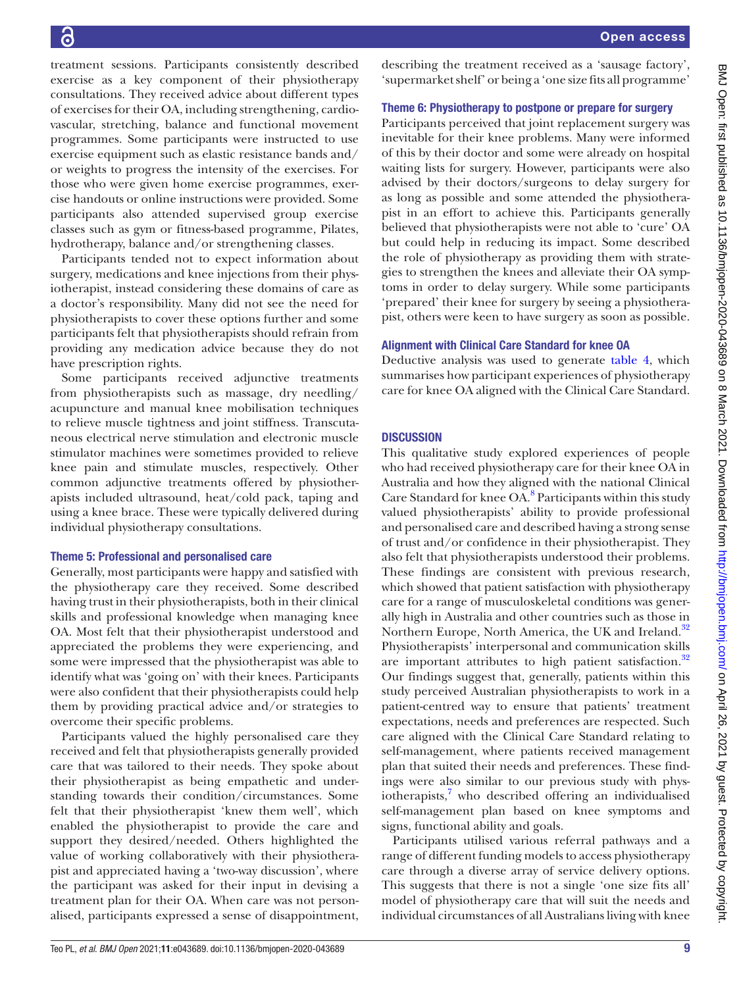treatment sessions. Participants consistently described exercise as a key component of their physiotherapy consultations. They received advice about different types of exercises for their OA, including strengthening, cardiovascular, stretching, balance and functional movement programmes. Some participants were instructed to use exercise equipment such as elastic resistance bands and/ or weights to progress the intensity of the exercises. For those who were given home exercise programmes, exercise handouts or online instructions were provided. Some participants also attended supervised group exercise classes such as gym or fitness-based programme, Pilates, hydrotherapy, balance and/or strengthening classes.

Participants tended not to expect information about surgery, medications and knee injections from their physiotherapist, instead considering these domains of care as a doctor's responsibility. Many did not see the need for physiotherapists to cover these options further and some participants felt that physiotherapists should refrain from providing any medication advice because they do not have prescription rights.

Some participants received adjunctive treatments from physiotherapists such as massage, dry needling/ acupuncture and manual knee mobilisation techniques to relieve muscle tightness and joint stiffness. Transcutaneous electrical nerve stimulation and electronic muscle stimulator machines were sometimes provided to relieve knee pain and stimulate muscles, respectively. Other common adjunctive treatments offered by physiotherapists included ultrasound, heat/cold pack, taping and using a knee brace. These were typically delivered during individual physiotherapy consultations.

# Theme 5: Professional and personalised care

Generally, most participants were happy and satisfied with the physiotherapy care they received. Some described having trust in their physiotherapists, both in their clinical skills and professional knowledge when managing knee OA. Most felt that their physiotherapist understood and appreciated the problems they were experiencing, and some were impressed that the physiotherapist was able to identify what was 'going on' with their knees. Participants were also confident that their physiotherapists could help them by providing practical advice and/or strategies to overcome their specific problems.

Participants valued the highly personalised care they received and felt that physiotherapists generally provided care that was tailored to their needs. They spoke about their physiotherapist as being empathetic and understanding towards their condition/circumstances. Some felt that their physiotherapist 'knew them well', which enabled the physiotherapist to provide the care and support they desired/needed. Others highlighted the value of working collaboratively with their physiotherapist and appreciated having a 'two-way discussion', where the participant was asked for their input in devising a treatment plan for their OA. When care was not personalised, participants expressed a sense of disappointment,

describing the treatment received as a 'sausage factory', 'supermarket shelf' or being a 'one size fits all programme'

# Theme 6: Physiotherapy to postpone or prepare for surgery

Participants perceived that joint replacement surgery was inevitable for their knee problems. Many were informed of this by their doctor and some were already on hospital waiting lists for surgery. However, participants were also advised by their doctors/surgeons to delay surgery for as long as possible and some attended the physiotherapist in an effort to achieve this. Participants generally believed that physiotherapists were not able to 'cure' OA but could help in reducing its impact. Some described the role of physiotherapy as providing them with strategies to strengthen the knees and alleviate their OA symptoms in order to delay surgery. While some participants 'prepared' their knee for surgery by seeing a physiotherapist, others were keen to have surgery as soon as possible.

# Alignment with Clinical Care Standard for knee OA

Deductive analysis was used to generate [table](#page-9-0) 4, which summarises how participant experiences of physiotherapy care for knee OA aligned with the Clinical Care Standard.

# **DISCUSSION**

This qualitative study explored experiences of people who had received physiotherapy care for their knee OA in Australia and how they aligned with the national Clinical Care Standard for knee OA.<sup>[8](#page-12-4)</sup> Participants within this study valued physiotherapists' ability to provide professional and personalised care and described having a strong sense of trust and/or confidence in their physiotherapist. They also felt that physiotherapists understood their problems. These findings are consistent with previous research, which showed that patient satisfaction with physiotherapy care for a range of musculoskeletal conditions was generally high in Australia and other countries such as those in Northern Europe, North America, the UK and Ireland.<sup>[32](#page-12-18)</sup> Physiotherapists' interpersonal and communication skills are important attributes to high patient satisfaction.<sup>[32](#page-12-18)</sup> Our findings suggest that, generally, patients within this study perceived Australian physiotherapists to work in a patient-centred way to ensure that patients' treatment expectations, needs and preferences are respected. Such care aligned with the Clinical Care Standard relating to self-management, where patients received management plan that suited their needs and preferences. These findings were also similar to our previous study with phys-iotherapists,<sup>[7](#page-12-3)</sup> who described offering an individualised self-management plan based on knee symptoms and signs, functional ability and goals.

Participants utilised various referral pathways and a range of different funding models to access physiotherapy care through a diverse array of service delivery options. This suggests that there is not a single 'one size fits all' model of physiotherapy care that will suit the needs and individual circumstances of all Australians living with knee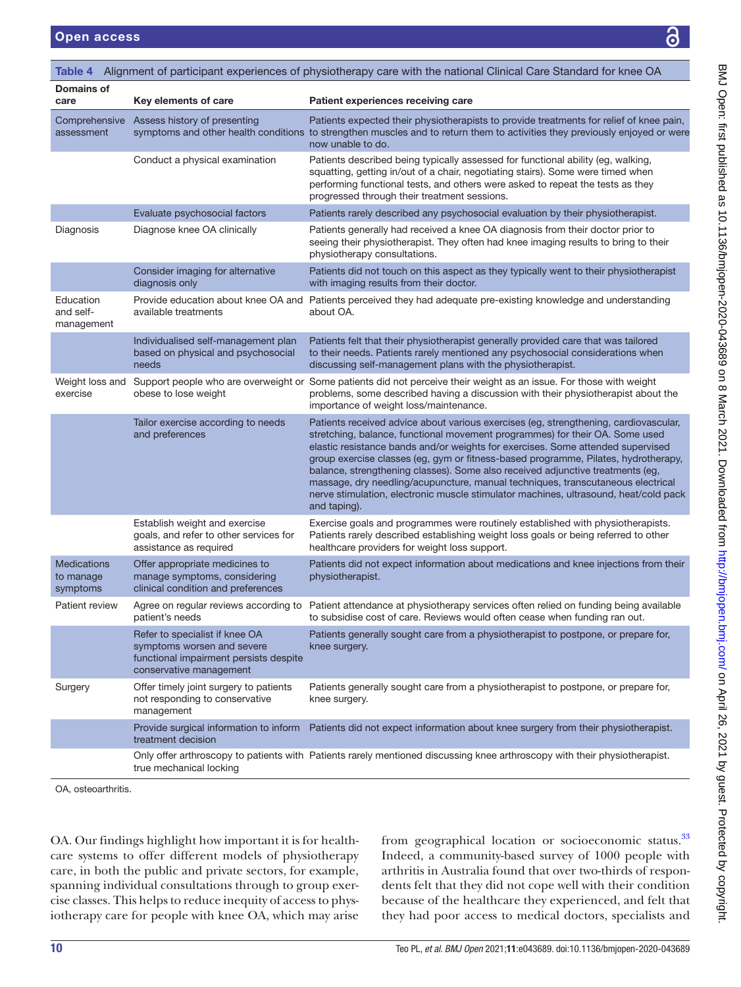<span id="page-9-0"></span>

| Domains of<br>Key elements of care<br>Patient experiences receiving care<br>care<br>Comprehensive Assess history of presenting<br>Patients expected their physiotherapists to provide treatments for relief of knee pain,<br>symptoms and other health conditions to strengthen muscles and to return them to activities they previously enjoyed or were<br>assessment<br>now unable to do.<br>Conduct a physical examination<br>Patients described being typically assessed for functional ability (eg, walking,<br>squatting, getting in/out of a chair, negotiating stairs). Some were timed when<br>performing functional tests, and others were asked to repeat the tests as they<br>progressed through their treatment sessions.<br>Evaluate psychosocial factors<br>Patients rarely described any psychosocial evaluation by their physiotherapist.<br>Diagnosis<br>Diagnose knee OA clinically<br>Patients generally had received a knee OA diagnosis from their doctor prior to<br>seeing their physiotherapist. They often had knee imaging results to bring to their<br>physiotherapy consultations.<br>Consider imaging for alternative<br>Patients did not touch on this aspect as they typically went to their physiotherapist<br>diagnosis only<br>with imaging results from their doctor.<br>Education<br>Provide education about knee OA and Patients perceived they had adequate pre-existing knowledge and understanding<br>and self-<br>available treatments<br>about OA.<br>management<br>Patients felt that their physiotherapist generally provided care that was tailored<br>Individualised self-management plan<br>to their needs. Patients rarely mentioned any psychosocial considerations when<br>based on physical and psychosocial<br>needs<br>discussing self-management plans with the physiotherapist.<br>Weight loss and<br>Support people who are overweight or Some patients did not perceive their weight as an issue. For those with weight<br>exercise<br>obese to lose weight<br>problems, some described having a discussion with their physiotherapist about the<br>importance of weight loss/maintenance.<br>Tailor exercise according to needs<br>Patients received advice about various exercises (eg, strengthening, cardiovascular,<br>stretching, balance, functional movement programmes) for their OA. Some used<br>and preferences<br>elastic resistance bands and/or weights for exercises. Some attended supervised<br>group exercise classes (eg, gym or fitness-based programme, Pilates, hydrotherapy,<br>balance, strengthening classes). Some also received adjunctive treatments (eg,<br>massage, dry needling/acupuncture, manual techniques, transcutaneous electrical<br>nerve stimulation, electronic muscle stimulator machines, ultrasound, heat/cold pack<br>and taping).<br>Establish weight and exercise<br>Exercise goals and programmes were routinely established with physiotherapists.<br>Patients rarely described establishing weight loss goals or being referred to other<br>goals, and refer to other services for<br>assistance as required<br>healthcare providers for weight loss support.<br><b>Medications</b><br>Offer appropriate medicines to<br>Patients did not expect information about medications and knee injections from their<br>to manage<br>manage symptoms, considering<br>physiotherapist.<br>clinical condition and preferences<br>symptoms<br>Agree on regular reviews according to Patient attendance at physiotherapy services often relied on funding being available<br><b>Patient review</b><br>patient's needs<br>to subsidise cost of care. Reviews would often cease when funding ran out.<br>Patients generally sought care from a physiotherapist to postpone, or prepare for,<br>Refer to specialist if knee OA<br>symptoms worsen and severe<br>knee surgery.<br>functional impairment persists despite<br>conservative management<br>Surgery<br>Offer timely joint surgery to patients<br>Patients generally sought care from a physiotherapist to postpone, or prepare for,<br>not responding to conservative<br>knee surgery.<br>management<br>Provide surgical information to inform Patients did not expect information about knee surgery from their physiotherapist.<br>treatment decision<br>Only offer arthroscopy to patients with Patients rarely mentioned discussing knee arthroscopy with their physiotherapist.<br>true mechanical locking | Alignment of participant experiences of physiotherapy care with the national Clinical Care Standard for knee OA<br>Table 4 |  |  |  |  |
|---------------------------------------------------------------------------------------------------------------------------------------------------------------------------------------------------------------------------------------------------------------------------------------------------------------------------------------------------------------------------------------------------------------------------------------------------------------------------------------------------------------------------------------------------------------------------------------------------------------------------------------------------------------------------------------------------------------------------------------------------------------------------------------------------------------------------------------------------------------------------------------------------------------------------------------------------------------------------------------------------------------------------------------------------------------------------------------------------------------------------------------------------------------------------------------------------------------------------------------------------------------------------------------------------------------------------------------------------------------------------------------------------------------------------------------------------------------------------------------------------------------------------------------------------------------------------------------------------------------------------------------------------------------------------------------------------------------------------------------------------------------------------------------------------------------------------------------------------------------------------------------------------------------------------------------------------------------------------------------------------------------------------------------------------------------------------------------------------------------------------------------------------------------------------------------------------------------------------------------------------------------------------------------------------------------------------------------------------------------------------------------------------------------------------------------------------------------------------------------------------------------------------------------------------------------------------------------------------------------------------------------------------------------------------------------------------------------------------------------------------------------------------------------------------------------------------------------------------------------------------------------------------------------------------------------------------------------------------------------------------------------------------------------------------------------------------------------------------------------------------------------------------------------------------------------------------------------------------------------------------------------------------------------------------------------------------------------------------------------------------------------------------------------------------------------------------------------------------------------------------------------------------------------------------------------------------------------------------------------------------------------------------------------------------------------------------------------------------------------------------------------------------------------------------------------------------------------------------------------------------------------------------------------------------------------------------------------------------------------------------------------------------------------------------------------------------------------------------------------------------------------------------------------------------------------------------------------------------------------------------------------------------------------------------------------------------------------------------------------------------------------------------------------------------------------------------------------------------|----------------------------------------------------------------------------------------------------------------------------|--|--|--|--|
|                                                                                                                                                                                                                                                                                                                                                                                                                                                                                                                                                                                                                                                                                                                                                                                                                                                                                                                                                                                                                                                                                                                                                                                                                                                                                                                                                                                                                                                                                                                                                                                                                                                                                                                                                                                                                                                                                                                                                                                                                                                                                                                                                                                                                                                                                                                                                                                                                                                                                                                                                                                                                                                                                                                                                                                                                                                                                                                                                                                                                                                                                                                                                                                                                                                                                                                                                                                                                                                                                                                                                                                                                                                                                                                                                                                                                                                                                                                                                                                                                                                                                                                                                                                                                                                                                                                                                                                                                                                                           |                                                                                                                            |  |  |  |  |
|                                                                                                                                                                                                                                                                                                                                                                                                                                                                                                                                                                                                                                                                                                                                                                                                                                                                                                                                                                                                                                                                                                                                                                                                                                                                                                                                                                                                                                                                                                                                                                                                                                                                                                                                                                                                                                                                                                                                                                                                                                                                                                                                                                                                                                                                                                                                                                                                                                                                                                                                                                                                                                                                                                                                                                                                                                                                                                                                                                                                                                                                                                                                                                                                                                                                                                                                                                                                                                                                                                                                                                                                                                                                                                                                                                                                                                                                                                                                                                                                                                                                                                                                                                                                                                                                                                                                                                                                                                                                           |                                                                                                                            |  |  |  |  |
|                                                                                                                                                                                                                                                                                                                                                                                                                                                                                                                                                                                                                                                                                                                                                                                                                                                                                                                                                                                                                                                                                                                                                                                                                                                                                                                                                                                                                                                                                                                                                                                                                                                                                                                                                                                                                                                                                                                                                                                                                                                                                                                                                                                                                                                                                                                                                                                                                                                                                                                                                                                                                                                                                                                                                                                                                                                                                                                                                                                                                                                                                                                                                                                                                                                                                                                                                                                                                                                                                                                                                                                                                                                                                                                                                                                                                                                                                                                                                                                                                                                                                                                                                                                                                                                                                                                                                                                                                                                                           |                                                                                                                            |  |  |  |  |
|                                                                                                                                                                                                                                                                                                                                                                                                                                                                                                                                                                                                                                                                                                                                                                                                                                                                                                                                                                                                                                                                                                                                                                                                                                                                                                                                                                                                                                                                                                                                                                                                                                                                                                                                                                                                                                                                                                                                                                                                                                                                                                                                                                                                                                                                                                                                                                                                                                                                                                                                                                                                                                                                                                                                                                                                                                                                                                                                                                                                                                                                                                                                                                                                                                                                                                                                                                                                                                                                                                                                                                                                                                                                                                                                                                                                                                                                                                                                                                                                                                                                                                                                                                                                                                                                                                                                                                                                                                                                           |                                                                                                                            |  |  |  |  |
|                                                                                                                                                                                                                                                                                                                                                                                                                                                                                                                                                                                                                                                                                                                                                                                                                                                                                                                                                                                                                                                                                                                                                                                                                                                                                                                                                                                                                                                                                                                                                                                                                                                                                                                                                                                                                                                                                                                                                                                                                                                                                                                                                                                                                                                                                                                                                                                                                                                                                                                                                                                                                                                                                                                                                                                                                                                                                                                                                                                                                                                                                                                                                                                                                                                                                                                                                                                                                                                                                                                                                                                                                                                                                                                                                                                                                                                                                                                                                                                                                                                                                                                                                                                                                                                                                                                                                                                                                                                                           |                                                                                                                            |  |  |  |  |
|                                                                                                                                                                                                                                                                                                                                                                                                                                                                                                                                                                                                                                                                                                                                                                                                                                                                                                                                                                                                                                                                                                                                                                                                                                                                                                                                                                                                                                                                                                                                                                                                                                                                                                                                                                                                                                                                                                                                                                                                                                                                                                                                                                                                                                                                                                                                                                                                                                                                                                                                                                                                                                                                                                                                                                                                                                                                                                                                                                                                                                                                                                                                                                                                                                                                                                                                                                                                                                                                                                                                                                                                                                                                                                                                                                                                                                                                                                                                                                                                                                                                                                                                                                                                                                                                                                                                                                                                                                                                           |                                                                                                                            |  |  |  |  |
|                                                                                                                                                                                                                                                                                                                                                                                                                                                                                                                                                                                                                                                                                                                                                                                                                                                                                                                                                                                                                                                                                                                                                                                                                                                                                                                                                                                                                                                                                                                                                                                                                                                                                                                                                                                                                                                                                                                                                                                                                                                                                                                                                                                                                                                                                                                                                                                                                                                                                                                                                                                                                                                                                                                                                                                                                                                                                                                                                                                                                                                                                                                                                                                                                                                                                                                                                                                                                                                                                                                                                                                                                                                                                                                                                                                                                                                                                                                                                                                                                                                                                                                                                                                                                                                                                                                                                                                                                                                                           |                                                                                                                            |  |  |  |  |
|                                                                                                                                                                                                                                                                                                                                                                                                                                                                                                                                                                                                                                                                                                                                                                                                                                                                                                                                                                                                                                                                                                                                                                                                                                                                                                                                                                                                                                                                                                                                                                                                                                                                                                                                                                                                                                                                                                                                                                                                                                                                                                                                                                                                                                                                                                                                                                                                                                                                                                                                                                                                                                                                                                                                                                                                                                                                                                                                                                                                                                                                                                                                                                                                                                                                                                                                                                                                                                                                                                                                                                                                                                                                                                                                                                                                                                                                                                                                                                                                                                                                                                                                                                                                                                                                                                                                                                                                                                                                           |                                                                                                                            |  |  |  |  |
|                                                                                                                                                                                                                                                                                                                                                                                                                                                                                                                                                                                                                                                                                                                                                                                                                                                                                                                                                                                                                                                                                                                                                                                                                                                                                                                                                                                                                                                                                                                                                                                                                                                                                                                                                                                                                                                                                                                                                                                                                                                                                                                                                                                                                                                                                                                                                                                                                                                                                                                                                                                                                                                                                                                                                                                                                                                                                                                                                                                                                                                                                                                                                                                                                                                                                                                                                                                                                                                                                                                                                                                                                                                                                                                                                                                                                                                                                                                                                                                                                                                                                                                                                                                                                                                                                                                                                                                                                                                                           |                                                                                                                            |  |  |  |  |
|                                                                                                                                                                                                                                                                                                                                                                                                                                                                                                                                                                                                                                                                                                                                                                                                                                                                                                                                                                                                                                                                                                                                                                                                                                                                                                                                                                                                                                                                                                                                                                                                                                                                                                                                                                                                                                                                                                                                                                                                                                                                                                                                                                                                                                                                                                                                                                                                                                                                                                                                                                                                                                                                                                                                                                                                                                                                                                                                                                                                                                                                                                                                                                                                                                                                                                                                                                                                                                                                                                                                                                                                                                                                                                                                                                                                                                                                                                                                                                                                                                                                                                                                                                                                                                                                                                                                                                                                                                                                           |                                                                                                                            |  |  |  |  |
|                                                                                                                                                                                                                                                                                                                                                                                                                                                                                                                                                                                                                                                                                                                                                                                                                                                                                                                                                                                                                                                                                                                                                                                                                                                                                                                                                                                                                                                                                                                                                                                                                                                                                                                                                                                                                                                                                                                                                                                                                                                                                                                                                                                                                                                                                                                                                                                                                                                                                                                                                                                                                                                                                                                                                                                                                                                                                                                                                                                                                                                                                                                                                                                                                                                                                                                                                                                                                                                                                                                                                                                                                                                                                                                                                                                                                                                                                                                                                                                                                                                                                                                                                                                                                                                                                                                                                                                                                                                                           |                                                                                                                            |  |  |  |  |
|                                                                                                                                                                                                                                                                                                                                                                                                                                                                                                                                                                                                                                                                                                                                                                                                                                                                                                                                                                                                                                                                                                                                                                                                                                                                                                                                                                                                                                                                                                                                                                                                                                                                                                                                                                                                                                                                                                                                                                                                                                                                                                                                                                                                                                                                                                                                                                                                                                                                                                                                                                                                                                                                                                                                                                                                                                                                                                                                                                                                                                                                                                                                                                                                                                                                                                                                                                                                                                                                                                                                                                                                                                                                                                                                                                                                                                                                                                                                                                                                                                                                                                                                                                                                                                                                                                                                                                                                                                                                           |                                                                                                                            |  |  |  |  |
|                                                                                                                                                                                                                                                                                                                                                                                                                                                                                                                                                                                                                                                                                                                                                                                                                                                                                                                                                                                                                                                                                                                                                                                                                                                                                                                                                                                                                                                                                                                                                                                                                                                                                                                                                                                                                                                                                                                                                                                                                                                                                                                                                                                                                                                                                                                                                                                                                                                                                                                                                                                                                                                                                                                                                                                                                                                                                                                                                                                                                                                                                                                                                                                                                                                                                                                                                                                                                                                                                                                                                                                                                                                                                                                                                                                                                                                                                                                                                                                                                                                                                                                                                                                                                                                                                                                                                                                                                                                                           |                                                                                                                            |  |  |  |  |
|                                                                                                                                                                                                                                                                                                                                                                                                                                                                                                                                                                                                                                                                                                                                                                                                                                                                                                                                                                                                                                                                                                                                                                                                                                                                                                                                                                                                                                                                                                                                                                                                                                                                                                                                                                                                                                                                                                                                                                                                                                                                                                                                                                                                                                                                                                                                                                                                                                                                                                                                                                                                                                                                                                                                                                                                                                                                                                                                                                                                                                                                                                                                                                                                                                                                                                                                                                                                                                                                                                                                                                                                                                                                                                                                                                                                                                                                                                                                                                                                                                                                                                                                                                                                                                                                                                                                                                                                                                                                           |                                                                                                                            |  |  |  |  |
|                                                                                                                                                                                                                                                                                                                                                                                                                                                                                                                                                                                                                                                                                                                                                                                                                                                                                                                                                                                                                                                                                                                                                                                                                                                                                                                                                                                                                                                                                                                                                                                                                                                                                                                                                                                                                                                                                                                                                                                                                                                                                                                                                                                                                                                                                                                                                                                                                                                                                                                                                                                                                                                                                                                                                                                                                                                                                                                                                                                                                                                                                                                                                                                                                                                                                                                                                                                                                                                                                                                                                                                                                                                                                                                                                                                                                                                                                                                                                                                                                                                                                                                                                                                                                                                                                                                                                                                                                                                                           |                                                                                                                            |  |  |  |  |
|                                                                                                                                                                                                                                                                                                                                                                                                                                                                                                                                                                                                                                                                                                                                                                                                                                                                                                                                                                                                                                                                                                                                                                                                                                                                                                                                                                                                                                                                                                                                                                                                                                                                                                                                                                                                                                                                                                                                                                                                                                                                                                                                                                                                                                                                                                                                                                                                                                                                                                                                                                                                                                                                                                                                                                                                                                                                                                                                                                                                                                                                                                                                                                                                                                                                                                                                                                                                                                                                                                                                                                                                                                                                                                                                                                                                                                                                                                                                                                                                                                                                                                                                                                                                                                                                                                                                                                                                                                                                           |                                                                                                                            |  |  |  |  |
|                                                                                                                                                                                                                                                                                                                                                                                                                                                                                                                                                                                                                                                                                                                                                                                                                                                                                                                                                                                                                                                                                                                                                                                                                                                                                                                                                                                                                                                                                                                                                                                                                                                                                                                                                                                                                                                                                                                                                                                                                                                                                                                                                                                                                                                                                                                                                                                                                                                                                                                                                                                                                                                                                                                                                                                                                                                                                                                                                                                                                                                                                                                                                                                                                                                                                                                                                                                                                                                                                                                                                                                                                                                                                                                                                                                                                                                                                                                                                                                                                                                                                                                                                                                                                                                                                                                                                                                                                                                                           |                                                                                                                            |  |  |  |  |

OA, osteoarthritis.

OA. Our findings highlight how important it is for healthcare systems to offer different models of physiotherapy care, in both the public and private sectors, for example, spanning individual consultations through to group exercise classes. This helps to reduce inequity of access to physiotherapy care for people with knee OA, which may arise

from geographical location or socioeconomic status.<sup>[33](#page-12-19)</sup> Indeed, a community-based survey of 1000 people with arthritis in Australia found that over two-thirds of respondents felt that they did not cope well with their condition because of the healthcare they experienced, and felt that they had poor access to medical doctors, specialists and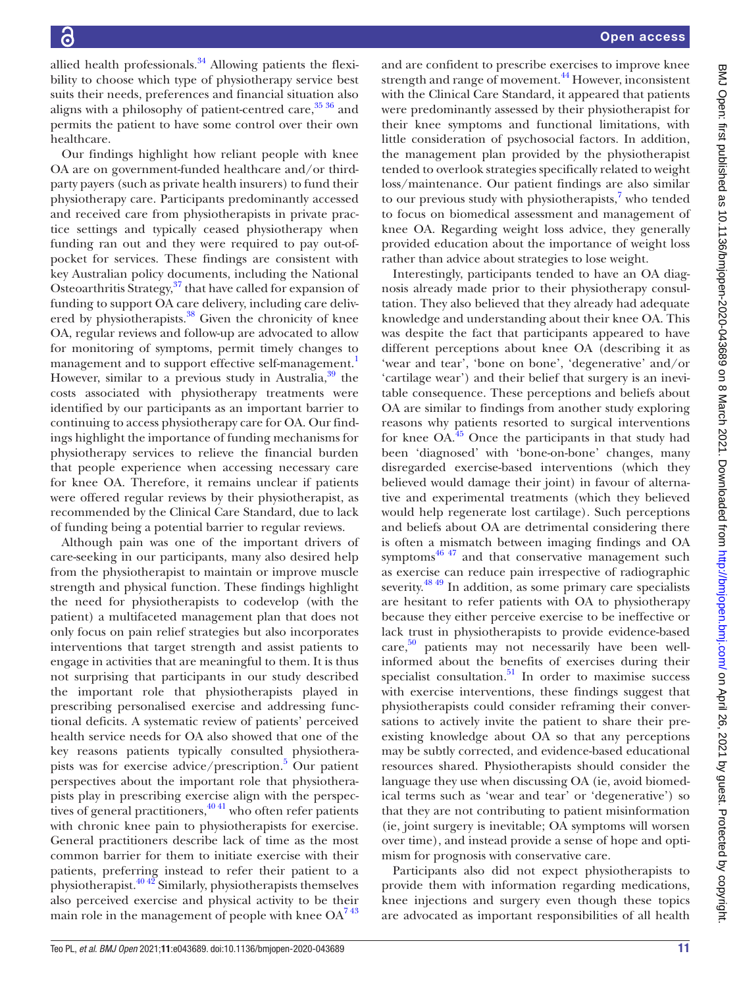allied health professionals. $34$  Allowing patients the flexibility to choose which type of physiotherapy service best suits their needs, preferences and financial situation also aligns with a philosophy of patient-centred care,  $35\frac{36}{10}$  and permits the patient to have some control over their own healthcare.

Our findings highlight how reliant people with knee OA are on government-funded healthcare and/or thirdparty payers (such as private health insurers) to fund their physiotherapy care. Participants predominantly accessed and received care from physiotherapists in private practice settings and typically ceased physiotherapy when funding ran out and they were required to pay out-ofpocket for services. These findings are consistent with key Australian policy documents, including the National Osteoarthritis Strategy,<sup>[37](#page-12-22)</sup> that have called for expansion of funding to support OA care delivery, including care delivered by physiotherapists.<sup>38</sup> Given the chronicity of knee OA, regular reviews and follow-up are advocated to allow for monitoring of symptoms, permit timely changes to management and to support effective self-management.<sup>[1](#page-12-0)</sup> However, similar to a previous study in Australia, $39$  the costs associated with physiotherapy treatments were identified by our participants as an important barrier to continuing to access physiotherapy care for OA. Our findings highlight the importance of funding mechanisms for physiotherapy services to relieve the financial burden that people experience when accessing necessary care for knee OA. Therefore, it remains unclear if patients were offered regular reviews by their physiotherapist, as recommended by the Clinical Care Standard, due to lack of funding being a potential barrier to regular reviews.

Although pain was one of the important drivers of care-seeking in our participants, many also desired help from the physiotherapist to maintain or improve muscle strength and physical function. These findings highlight the need for physiotherapists to codevelop (with the patient) a multifaceted management plan that does not only focus on pain relief strategies but also incorporates interventions that target strength and assist patients to engage in activities that are meaningful to them. It is thus not surprising that participants in our study described the important role that physiotherapists played in prescribing personalised exercise and addressing functional deficits. A systematic review of patients' perceived health service needs for OA also showed that one of the key reasons patients typically consulted physiothera-pists was for exercise advice/prescription.<sup>[5](#page-12-2)</sup> Our patient perspectives about the important role that physiotherapists play in prescribing exercise align with the perspectives of general practitioners,  $4041$  who often refer patients with chronic knee pain to physiotherapists for exercise. General practitioners describe lack of time as the most common barrier for them to initiate exercise with their patients, preferring instead to refer their patient to a physiotherapist. $40\frac{40}{2}$  Similarly, physiotherapists themselves also perceived exercise and physical activity to be their main role in the management of people with knee  $OA^{743}$ 

and are confident to prescribe exercises to improve knee strength and range of movement.<sup>44</sup> However, inconsistent with the Clinical Care Standard, it appeared that patients were predominantly assessed by their physiotherapist for their knee symptoms and functional limitations, with little consideration of psychosocial factors. In addition, the management plan provided by the physiotherapist tended to overlook strategies specifically related to weight loss/maintenance. Our patient findings are also similar to our previous study with physiotherapists,<sup>[7](#page-12-3)</sup> who tended to focus on biomedical assessment and management of knee OA. Regarding weight loss advice, they generally provided education about the importance of weight loss rather than advice about strategies to lose weight.

Interestingly, participants tended to have an OA diagnosis already made prior to their physiotherapy consultation. They also believed that they already had adequate knowledge and understanding about their knee OA. This was despite the fact that participants appeared to have different perceptions about knee OA (describing it as 'wear and tear', 'bone on bone', 'degenerative' and/or 'cartilage wear') and their belief that surgery is an inevitable consequence. These perceptions and beliefs about OA are similar to findings from another study exploring reasons why patients resorted to surgical interventions for knee  $OA<sup>45</sup>$  Once the participants in that study had been 'diagnosed' with 'bone-on-bone' changes, many disregarded exercise-based interventions (which they believed would damage their joint) in favour of alternative and experimental treatments (which they believed would help regenerate lost cartilage). Such perceptions and beliefs about OA are detrimental considering there is often a mismatch between imaging findings and OA symptoms $46 \frac{47}{1}$  and that conservative management such as exercise can reduce pain irrespective of radiographic severity.<sup>48 49</sup> In addition, as some primary care specialists are hesitant to refer patients with OA to physiotherapy because they either perceive exercise to be ineffective or lack trust in physiotherapists to provide evidence-based care, [50](#page-13-0) patients may not necessarily have been wellinformed about the benefits of exercises during their specialist consultation. $51$  In order to maximise success with exercise interventions, these findings suggest that physiotherapists could consider reframing their conversations to actively invite the patient to share their preexisting knowledge about OA so that any perceptions may be subtly corrected, and evidence-based educational resources shared. Physiotherapists should consider the language they use when discussing OA (ie, avoid biomedical terms such as 'wear and tear' or 'degenerative') so that they are not contributing to patient misinformation (ie, joint surgery is inevitable; OA symptoms will worsen over time), and instead provide a sense of hope and optimism for prognosis with conservative care.

Participants also did not expect physiotherapists to provide them with information regarding medications, knee injections and surgery even though these topics are advocated as important responsibilities of all health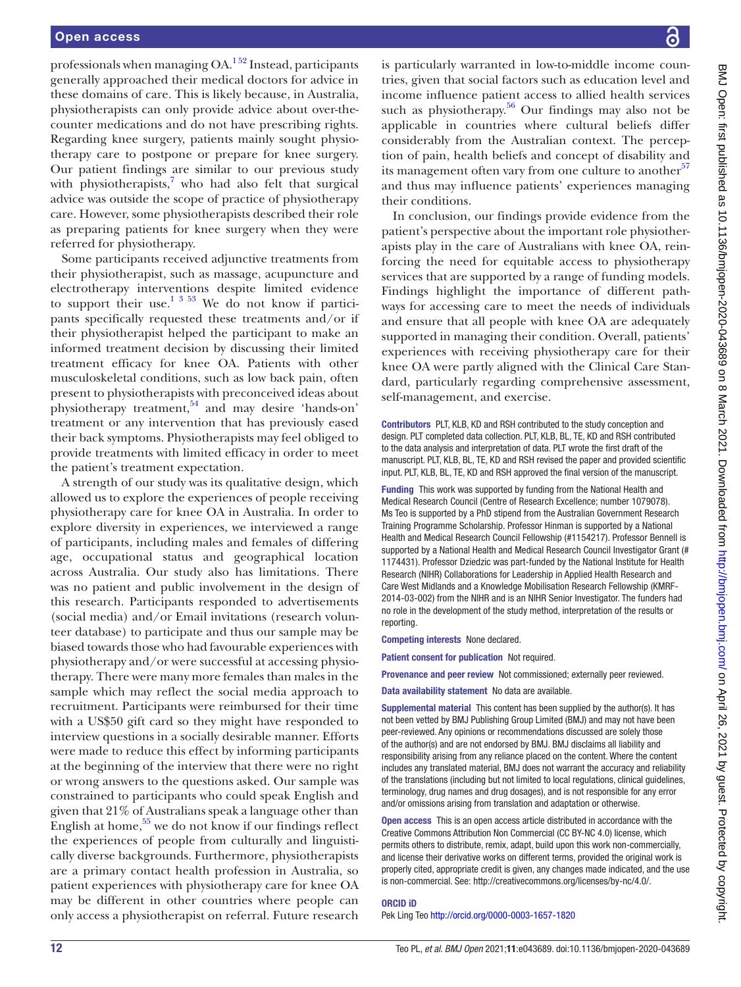professionals when managing  $OA<sup>152</sup>$  Instead, participants generally approached their medical doctors for advice in these domains of care. This is likely because, in Australia, physiotherapists can only provide advice about over-thecounter medications and do not have prescribing rights. Regarding knee surgery, patients mainly sought physiotherapy care to postpone or prepare for knee surgery. Our patient findings are similar to our previous study with physiotherapists, $7$  who had also felt that surgical advice was outside the scope of practice of physiotherapy care. However, some physiotherapists described their role as preparing patients for knee surgery when they were referred for physiotherapy.

Some participants received adjunctive treatments from their physiotherapist, such as massage, acupuncture and electrotherapy interventions despite limited evidence to support their use.<sup>1 3 53</sup> We do not know if participants specifically requested these treatments and/or if their physiotherapist helped the participant to make an informed treatment decision by discussing their limited treatment efficacy for knee OA. Patients with other musculoskeletal conditions, such as low back pain, often present to physiotherapists with preconceived ideas about physiotherapy treatment, $54$  and may desire 'hands-on' treatment or any intervention that has previously eased their back symptoms. Physiotherapists may feel obliged to provide treatments with limited efficacy in order to meet the patient's treatment expectation.

A strength of our study was its qualitative design, which allowed us to explore the experiences of people receiving physiotherapy care for knee OA in Australia. In order to explore diversity in experiences, we interviewed a range of participants, including males and females of differing age, occupational status and geographical location across Australia. Our study also has limitations. There was no patient and public involvement in the design of this research. Participants responded to advertisements (social media) and/or Email invitations (research volunteer database) to participate and thus our sample may be biased towards those who had favourable experiences with physiotherapy and/or were successful at accessing physiotherapy. There were many more females than males in the sample which may reflect the social media approach to recruitment. Participants were reimbursed for their time with a US\$50 gift card so they might have responded to interview questions in a socially desirable manner. Efforts were made to reduce this effect by informing participants at the beginning of the interview that there were no right or wrong answers to the questions asked. Our sample was constrained to participants who could speak English and given that 21% of Australians speak a language other than English at home,  $55$  we do not know if our findings reflect the experiences of people from culturally and linguistically diverse backgrounds. Furthermore, physiotherapists are a primary contact health profession in Australia, so patient experiences with physiotherapy care for knee OA may be different in other countries where people can only access a physiotherapist on referral. Future research

is particularly warranted in low-to-middle income countries, given that social factors such as education level and income influence patient access to allied health services such as physiotherapy. $56$  Our findings may also not be applicable in countries where cultural beliefs differ considerably from the Australian context. The perception of pain, health beliefs and concept of disability and its management often vary from one culture to another<sup>[57](#page-13-5)</sup> and thus may influence patients' experiences managing their conditions.

In conclusion, our findings provide evidence from the patient's perspective about the important role physiotherapists play in the care of Australians with knee OA, reinforcing the need for equitable access to physiotherapy services that are supported by a range of funding models. Findings highlight the importance of different pathways for accessing care to meet the needs of individuals and ensure that all people with knee OA are adequately supported in managing their condition. Overall, patients' experiences with receiving physiotherapy care for their knee OA were partly aligned with the Clinical Care Standard, particularly regarding comprehensive assessment, self-management, and exercise.

Contributors PLT, KLB, KD and RSH contributed to the study conception and design. PLT completed data collection. PLT, KLB, BL, TE, KD and RSH contributed to the data analysis and interpretation of data. PLT wrote the first draft of the manuscript. PLT, KLB, BL, TE, KD and RSH revised the paper and provided scientific input. PLT, KLB, BL, TE, KD and RSH approved the final version of the manuscript.

Funding This work was supported by funding from the National Health and Medical Research Council (Centre of Research Excellence; number 1079078). Ms Teo is supported by a PhD stipend from the Australian Government Research Training Programme Scholarship. Professor Hinman is supported by a National Health and Medical Research Council Fellowship (#1154217). Professor Bennell is supported by a National Health and Medical Research Council Investigator Grant (# 1174431). Professor Dziedzic was part-funded by the National Institute for Health Research (NIHR) Collaborations for Leadership in Applied Health Research and Care West Midlands and a Knowledge Mobilisation Research Fellowship (KMRF-2014-03-002) from the NIHR and is an NIHR Senior Investigator. The funders had no role in the development of the study method, interpretation of the results or reporting.

Competing interests None declared.

Patient consent for publication Not required.

Provenance and peer review Not commissioned; externally peer reviewed.

Data availability statement No data are available.

Supplemental material This content has been supplied by the author(s). It has not been vetted by BMJ Publishing Group Limited (BMJ) and may not have been peer-reviewed. Any opinions or recommendations discussed are solely those of the author(s) and are not endorsed by BMJ. BMJ disclaims all liability and responsibility arising from any reliance placed on the content. Where the content includes any translated material, BMJ does not warrant the accuracy and reliability of the translations (including but not limited to local regulations, clinical guidelines, terminology, drug names and drug dosages), and is not responsible for any error and/or omissions arising from translation and adaptation or otherwise.

Open access This is an open access article distributed in accordance with the Creative Commons Attribution Non Commercial (CC BY-NC 4.0) license, which permits others to distribute, remix, adapt, build upon this work non-commercially, and license their derivative works on different terms, provided the original work is properly cited, appropriate credit is given, any changes made indicated, and the use is non-commercial. See: [http://creativecommons.org/licenses/by-nc/4.0/.](http://creativecommons.org/licenses/by-nc/4.0/)

#### ORCID iD

Pek Ling Teo<http://orcid.org/0000-0003-1657-1820>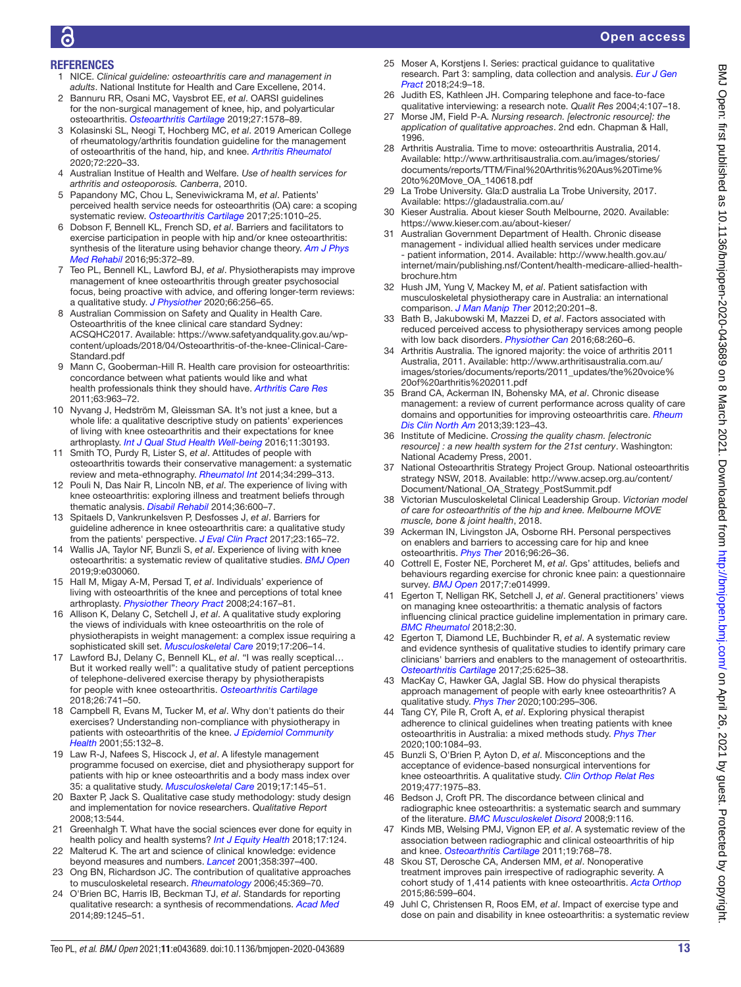# **REFERENCES**

- <span id="page-12-0"></span>1 NICE. *Clinical guideline: osteoarthritis care and management in adults*. National Institute for Health and Care Excellene, 2014.
- 2 Bannuru RR, Osani MC, Vaysbrot EE, *et al*. OARSI guidelines for the non-surgical management of knee, hip, and polyarticular osteoarthritis. *[Osteoarthritis Cartilage](http://dx.doi.org/10.1016/j.joca.2019.06.011)* 2019;27:1578–89.
- 3 Kolasinski SL, Neogi T, Hochberg MC, *et al*. 2019 American College of rheumatology/arthritis foundation guideline for the management of osteoarthritis of the hand, hip, and knee. *[Arthritis Rheumatol](http://dx.doi.org/10.1002/art.41142)* 2020;72:220–33.
- <span id="page-12-1"></span>4 Australian Institue of Health and Welfare. *Use of health services for arthritis and osteoporosis. Canberra*, 2010.
- <span id="page-12-2"></span>5 Papandony MC, Chou L, Seneviwickrama M, *et al*. Patients' perceived health service needs for osteoarthritis (OA) care: a scoping systematic review. *[Osteoarthritis Cartilage](http://dx.doi.org/10.1016/j.joca.2017.02.799)* 2017;25:1010–25.
- 6 Dobson F, Bennell KL, French SD, *et al*. Barriers and facilitators to exercise participation in people with hip and/or knee osteoarthritis: synthesis of the literature using behavior change theory. *[Am J Phys](http://dx.doi.org/10.1097/PHM.0000000000000448)  [Med Rehabil](http://dx.doi.org/10.1097/PHM.0000000000000448)* 2016;95:372–89.
- <span id="page-12-3"></span>7 Teo PL, Bennell KL, Lawford BJ, *et al*. Physiotherapists may improve management of knee osteoarthritis through greater psychosocial focus, being proactive with advice, and offering longer-term reviews: a qualitative study. *[J Physiother](http://dx.doi.org/10.1016/j.jphys.2020.09.005)* 2020;66:256–65.
- <span id="page-12-4"></span>8 Australian Commission on Safety and Quality in Health Care. Osteoarthritis of the knee clinical care standard Sydney: ACSQHC2017. Available: [https://www.safetyandquality.gov.au/wp](https://www.safetyandquality.gov.au/wp-content/uploads/2018/04/Osteoarthritis-of-the-knee-Clinical-Care-Standard.pdf)[content/uploads/2018/04/Osteoarthritis-of-the-knee-Clinical-Care-](https://www.safetyandquality.gov.au/wp-content/uploads/2018/04/Osteoarthritis-of-the-knee-Clinical-Care-Standard.pdf)[Standard.pdf](https://www.safetyandquality.gov.au/wp-content/uploads/2018/04/Osteoarthritis-of-the-knee-Clinical-Care-Standard.pdf)
- <span id="page-12-5"></span>9 Mann C, Gooberman-Hill R. Health care provision for osteoarthritis: concordance between what patients would like and what health professionals think they should have. *[Arthritis Care Res](http://dx.doi.org/10.1002/acr.20459)* 2011;63:963–72.
- 10 Nyvang J, Hedström M, Gleissman SA. It's not just a knee, but a whole life: a qualitative descriptive study on patients' experiences of living with knee osteoarthritis and their expectations for knee arthroplasty. *[Int J Qual Stud Health Well-being](http://dx.doi.org/10.3402/qhw.v11.30193)* 2016;11:30193.
- 11 Smith TO, Purdy R, Lister S, *et al*. Attitudes of people with osteoarthritis towards their conservative management: a systematic review and meta-ethnography. *[Rheumatol Int](http://dx.doi.org/10.1007/s00296-013-2905-y)* 2014;34:299–313.
- 12 Pouli N, Das Nair R, Lincoln NB, *et al*. The experience of living with knee osteoarthritis: exploring illness and treatment beliefs through thematic analysis. *[Disabil Rehabil](http://dx.doi.org/10.3109/09638288.2013.805257)* 2014;36:600–7.
- 13 Spitaels D, Vankrunkelsven P, Desfosses J, *et al*. Barriers for guideline adherence in knee osteoarthritis care: a qualitative study from the patients' perspective. *[J Eval Clin Pract](http://dx.doi.org/10.1111/jep.12660)* 2017;23:165–72.
- 14 Wallis JA, Taylor NF, Bunzli S, *et al*. Experience of living with knee osteoarthritis: a systematic review of qualitative studies. *[BMJ Open](http://dx.doi.org/10.1136/bmjopen-2019-030060)* 2019;9:e030060.
- <span id="page-12-6"></span>15 Hall M, Migay A-M, Persad T, *et al*. Individuals' experience of living with osteoarthritis of the knee and perceptions of total knee arthroplasty. *[Physiother Theory Pract](http://dx.doi.org/10.1080/09593980701588326)* 2008;24:167–81.
- 16 Allison K, Delany C, Setchell J, *et al*. A qualitative study exploring the views of individuals with knee osteoarthritis on the role of physiotherapists in weight management: a complex issue requiring a sophisticated skill set. *[Musculoskeletal Care](http://dx.doi.org/10.1002/msc.1391)* 2019;17:206–14.
- <span id="page-12-13"></span>17 Lawford BJ, Delany C, Bennell KL, *et al*. "I was really sceptical… But it worked really well": a qualitative study of patient perceptions of telephone-delivered exercise therapy by physiotherapists for people with knee osteoarthritis. *[Osteoarthritis Cartilage](http://dx.doi.org/10.1016/j.joca.2018.02.909)* 2018;26:741–50.
- 18 Campbell R, Evans M, Tucker M, *et al*. Why don't patients do their exercises? Understanding non-compliance with physiotherapy in patients with osteoarthritis of the knee. *[J Epidemiol Community](http://dx.doi.org/10.1136/jech.55.2.132)  [Health](http://dx.doi.org/10.1136/jech.55.2.132)* 2001;55:132–8.
- 19 Law R-J, Nafees S, Hiscock J, *et al*. A lifestyle management programme focused on exercise, diet and physiotherapy support for patients with hip or knee osteoarthritis and a body mass index over 35: a qualitative study. *[Musculoskeletal Care](http://dx.doi.org/10.1002/msc.1382)* 2019;17:145–51.
- <span id="page-12-7"></span>20 Baxter P, Jack S. Qualitative case study methodology: study design and implementation for novice researchers. *Qualitative Report* 2008;13:544.
- <span id="page-12-8"></span>21 Greenhalgh T. What have the social sciences ever done for equity in health policy and health systems? *[Int J Equity Health](http://dx.doi.org/10.1186/s12939-018-0842-9)* 2018;17:124.
- 22 Malterud K. The art and science of clinical knowledge: evidence beyond measures and numbers. *[Lancet](http://dx.doi.org/10.1016/S0140-6736(01)05548-9)* 2001;358:397–400.
- 23 Ong BN, Richardson JC. The contribution of qualitative approaches to musculoskeletal research. *[Rheumatology](http://dx.doi.org/10.1093/rheumatology/kel022)* 2006;45:369–70.
- <span id="page-12-9"></span>24 O'Brien BC, Harris IB, Beckman TJ, *et al*. Standards for reporting qualitative research: a synthesis of recommendations. *[Acad Med](http://dx.doi.org/10.1097/ACM.0000000000000388)* 2014;89:1245–51.
- <span id="page-12-10"></span>25 Moser A, Korstjens I. Series: practical guidance to qualitative research. Part 3: sampling, data collection and analysis. *[Eur J Gen](http://dx.doi.org/10.1080/13814788.2017.1375091)  [Pract](http://dx.doi.org/10.1080/13814788.2017.1375091)* 2018;24:9–18.
- <span id="page-12-11"></span>26 Judith ES, Kathleen JH. Comparing telephone and face-to-face qualitative interviewing: a research note. *Qualit Res* 2004;4:107–18.
- <span id="page-12-12"></span>27 Morse JM, Field P-A. *Nursing research. [electronic resource]: the application of qualitative approaches*. 2nd edn. Chapman & Hall, 1996.
- <span id="page-12-14"></span>28 Arthritis Australia. Time to move: osteoarthritis Australia, 2014. Available: [http://www.arthritisaustralia.com.au/images/stories/](http://www.arthritisaustralia.com.au/images/stories/documents/reports/TTM/Final%20Arthritis%20Aus%20Time%20to%20Move_OA_140618.pdf) [documents/reports/TTM/Final%20Arthritis%20Aus%20Time%](http://www.arthritisaustralia.com.au/images/stories/documents/reports/TTM/Final%20Arthritis%20Aus%20Time%20to%20Move_OA_140618.pdf) [20to%20Move\\_OA\\_140618.pdf](http://www.arthritisaustralia.com.au/images/stories/documents/reports/TTM/Final%20Arthritis%20Aus%20Time%20to%20Move_OA_140618.pdf)
- <span id="page-12-15"></span>29 La Trobe University. Gla:D australia La Trobe University, 2017. Available: <https://gladaustralia.com.au/>
- <span id="page-12-16"></span>30 Kieser Australia. About kieser South Melbourne, 2020. Available: <https://www.kieser.com.au/about-kieser/>
- <span id="page-12-17"></span>31 Australian Government Department of Health. Chronic disease management - individual allied health services under medicare - patient information, 2014. Available: [http://www.health.gov.au/](http://www.health.gov.au/internet/main/publishing.nsf/Content/health-medicare-allied-health-brochure.htm) [internet/main/publishing.nsf/Content/health-medicare-allied-health](http://www.health.gov.au/internet/main/publishing.nsf/Content/health-medicare-allied-health-brochure.htm)[brochure.htm](http://www.health.gov.au/internet/main/publishing.nsf/Content/health-medicare-allied-health-brochure.htm)
- <span id="page-12-18"></span>32 Hush JM, Yung V, Mackey M, *et al*. Patient satisfaction with musculoskeletal physiotherapy care in Australia: an international comparison. *[J Man Manip Ther](http://dx.doi.org/10.1179/2042618612Y.0000000009)* 2012;20:201–8.
- <span id="page-12-19"></span>33 Bath B, Jakubowski M, Mazzei D, *et al*. Factors associated with reduced perceived access to physiotherapy services among people with low back disorders. *[Physiother Can](http://dx.doi.org/10.3138/ptc.2015-50)* 2016;68:260–6.
- <span id="page-12-20"></span>34 Arthritis Australia. The ignored majority: the voice of arthritis 2011 Australia, 2011. Available: [http://www.arthritisaustralia.com.au/](http://www.arthritisaustralia.com.au/images/stories/documents/reports/2011_updates/the%20voice%20of%20arthritis%202011.pdf) [images/stories/documents/reports/2011\\_updates/the%20voice%](http://www.arthritisaustralia.com.au/images/stories/documents/reports/2011_updates/the%20voice%20of%20arthritis%202011.pdf) [20of%20arthritis%202011.pdf](http://www.arthritisaustralia.com.au/images/stories/documents/reports/2011_updates/the%20voice%20of%20arthritis%202011.pdf)
- <span id="page-12-21"></span>35 Brand CA, Ackerman IN, Bohensky MA, *et al*. Chronic disease management: a review of current performance across quality of care domains and opportunities for improving osteoarthritis care. *[Rheum](http://dx.doi.org/10.1016/j.rdc.2012.10.005)  [Dis Clin North Am](http://dx.doi.org/10.1016/j.rdc.2012.10.005)* 2013;39:123–43.
- 36 Institute of Medicine. *Crossing the quality chasm. [electronic resource] : a new health system for the 21st century*. Washington: National Academy Press, 2001.
- <span id="page-12-22"></span>37 National Osteoarthritis Strategy Project Group. National osteoarthritis strategy NSW, 2018. Available: [http://www.acsep.org.au/content/](http://www.acsep.org.au/content/Document/National_OA_Strategy_PostSummit.pdf) [Document/National\\_OA\\_Strategy\\_PostSummit.pdf](http://www.acsep.org.au/content/Document/National_OA_Strategy_PostSummit.pdf)
- <span id="page-12-23"></span>38 Victorian Musculoskeletal Clinical Leadership Group. *Victorian model of care for osteoarthritis of the hip and knee. Melbourne MOVE muscle, bone & joint health*, 2018.
- <span id="page-12-24"></span>39 Ackerman IN, Livingston JA, Osborne RH. Personal perspectives on enablers and barriers to accessing care for hip and knee osteoarthritis. *[Phys Ther](http://dx.doi.org/10.2522/ptj.20140357)* 2016;96:26–36.
- <span id="page-12-25"></span>40 Cottrell E, Foster NE, Porcheret M, *et al*. Gps' attitudes, beliefs and behaviours regarding exercise for chronic knee pain: a questionnaire survey. *[BMJ Open](http://dx.doi.org/10.1136/bmjopen-2016-014999)* 2017;7:e014999.
- 41 Egerton T, Nelligan RK, Setchell J, *et al*. General practitioners' views on managing knee osteoarthritis: a thematic analysis of factors influencing clinical practice guideline implementation in primary care. *[BMC Rheumatol](http://dx.doi.org/10.1186/s41927-018-0037-4)* 2018;2:30.
- 42 Egerton T, Diamond LE, Buchbinder R, *et al*. A systematic review and evidence synthesis of qualitative studies to identify primary care clinicians' barriers and enablers to the management of osteoarthritis. *[Osteoarthritis Cartilage](http://dx.doi.org/10.1016/j.joca.2016.12.002)* 2017;25:625–38.
- 43 MacKay C, Hawker GA, Jaglal SB. How do physical therapists approach management of people with early knee osteoarthritis? A qualitative study. *[Phys Ther](http://dx.doi.org/10.1093/ptj/pzz164)* 2020;100:295–306.
- <span id="page-12-26"></span>44 Tang CY, Pile R, Croft A, *et al*. Exploring physical therapist adherence to clinical guidelines when treating patients with knee osteoarthritis in Australia: a mixed methods study. *[Phys Ther](http://dx.doi.org/10.1093/ptj/pzaa049)* 2020;100:1084–93.
- <span id="page-12-27"></span>45 Bunzli S, O'Brien P, Ayton D, *et al*. Misconceptions and the acceptance of evidence-based nonsurgical interventions for knee osteoarthritis. A qualitative study. *[Clin Orthop Relat Res](http://dx.doi.org/10.1097/CORR.0000000000000784)* 2019;477:1975–83.
- <span id="page-12-28"></span>46 Bedson J, Croft PR. The discordance between clinical and radiographic knee osteoarthritis: a systematic search and summary of the literature. *[BMC Musculoskelet Disord](http://dx.doi.org/10.1186/1471-2474-9-116)* 2008;9:116.
- 47 Kinds MB, Welsing PMJ, Vignon EP, *et al*. A systematic review of the association between radiographic and clinical osteoarthritis of hip and knee. *[Osteoarthritis Cartilage](http://dx.doi.org/10.1016/j.joca.2011.01.015)* 2011;19:768–78.
- <span id="page-12-29"></span>48 Skou ST, Derosche CA, Andersen MM, *et al*. Nonoperative treatment improves pain irrespective of radiographic severity. A cohort study of 1,414 patients with knee osteoarthritis. *[Acta Orthop](http://dx.doi.org/10.3109/17453674.2015.1029392)* 2015;86:599–604.
- Juhl C, Christensen R, Roos EM, et al. Impact of exercise type and dose on pain and disability in knee osteoarthritis: a systematic review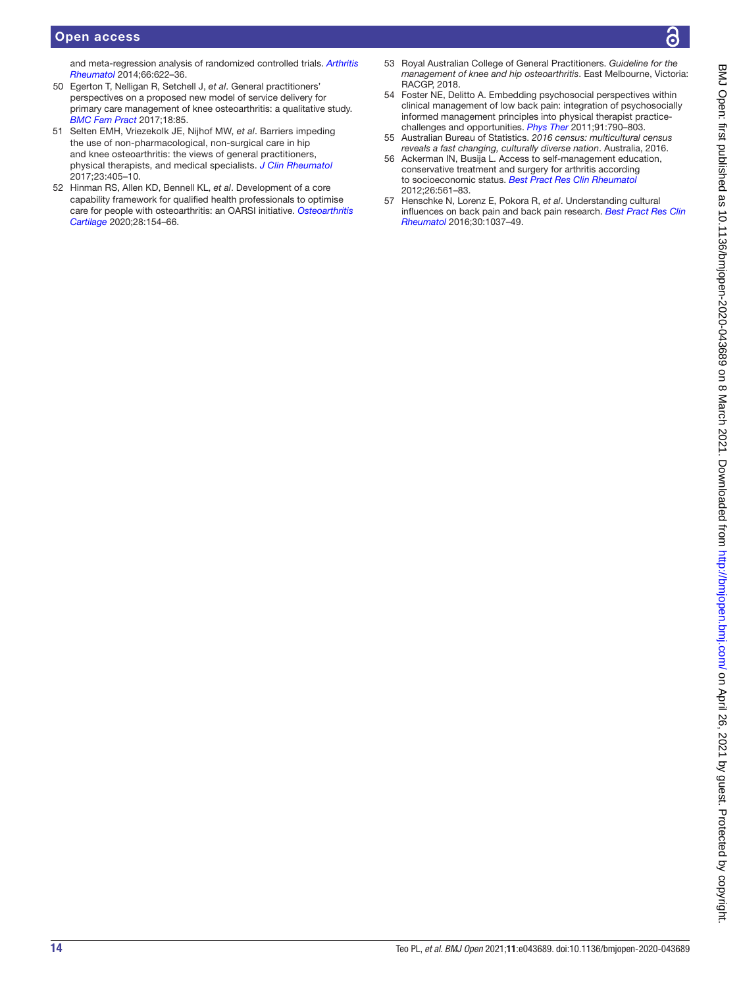# Open access

and meta-regression analysis of randomized controlled trials. *[Arthritis](http://dx.doi.org/10.1002/art.38290) [Rheumatol](http://dx.doi.org/10.1002/art.38290)* 2014;66:622–36.

- <span id="page-13-0"></span>50 Egerton T, Nelligan R, Setchell J, *et al*. General practitioners' perspectives on a proposed new model of service delivery for primary care management of knee osteoarthritis: a qualitative study. *[BMC Fam Pract](http://dx.doi.org/10.1186/s12875-017-0656-7)* 2017;18:85.
- <span id="page-13-1"></span>51 Selten EMH, Vriezekolk JE, Nijhof MW, *et al*. Barriers impeding the use of non-pharmacological, non-surgical care in hip and knee osteoarthritis: the views of general practitioners, physical therapists, and medical specialists. *[J Clin Rheumatol](http://dx.doi.org/10.1097/RHU.0000000000000562)* 2017;23:405–10.
- 52 Hinman RS, Allen KD, Bennell KL, *et al*. Development of a core capability framework for qualified health professionals to optimise care for people with osteoarthritis: an OARSI initiative. *[Osteoarthritis](http://dx.doi.org/10.1016/j.joca.2019.12.001)  [Cartilage](http://dx.doi.org/10.1016/j.joca.2019.12.001)* 2020;28:154–66.
- 53 Royal Australian College of General Practitioners. *Guideline for the management of knee and hip osteoarthritis*. East Melbourne, Victoria: RACGP, 2018.
- <span id="page-13-2"></span>54 Foster NE, Delitto A. Embedding psychosocial perspectives within clinical management of low back pain: integration of psychosocially informed management principles into physical therapist practicechallenges and opportunities. *[Phys Ther](http://dx.doi.org/10.2522/ptj.20100326)* 2011;91:790–803.
- <span id="page-13-3"></span>55 Australian Bureau of Statistics. *2016 census: multicultural census reveals a fast changing, culturally diverse nation*. Australia, 2016.
- <span id="page-13-4"></span>56 Ackerman IN, Busija L. Access to self-management education, conservative treatment and surgery for arthritis according to socioeconomic status. *[Best Pract Res Clin Rheumatol](http://dx.doi.org/10.1016/j.berh.2012.08.002)* 2012;26:561–83.
- <span id="page-13-5"></span>57 Henschke N, Lorenz E, Pokora R, *et al*. Understanding cultural influences on back pain and back pain research. *[Best Pract Res Clin](http://dx.doi.org/10.1016/j.berh.2017.08.004)  [Rheumatol](http://dx.doi.org/10.1016/j.berh.2017.08.004)* 2016;30:1037–49.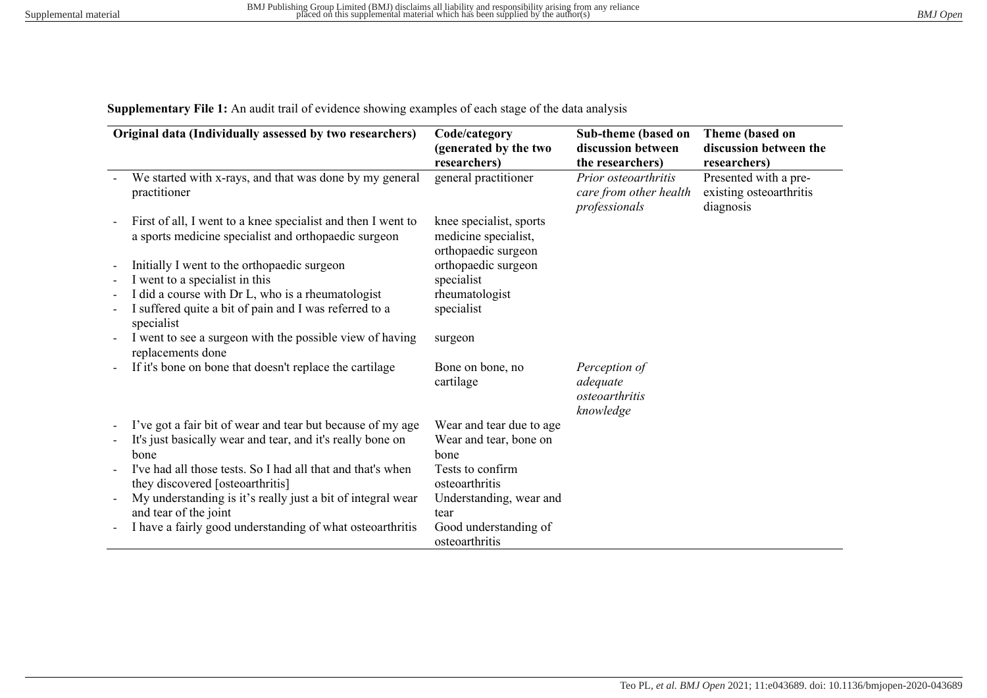**Supplementary File 1:** An audit trail of evidence showing examples of each stage of the data analysis

| Original data (Individually assessed by two researchers) |                                                                                                                      | Code/category<br>(generated by the two<br>researchers)                 | Sub-theme (based on<br>discussion between<br>the researchers)   | Theme (based on<br>discussion between the<br>researchers)     |
|----------------------------------------------------------|----------------------------------------------------------------------------------------------------------------------|------------------------------------------------------------------------|-----------------------------------------------------------------|---------------------------------------------------------------|
|                                                          | We started with x-rays, and that was done by my general<br>practitioner                                              | general practitioner                                                   | Prior osteoarthritis<br>care from other health<br>professionals | Presented with a pre-<br>existing osteoarthritis<br>diagnosis |
|                                                          | First of all, I went to a knee specialist and then I went to<br>a sports medicine specialist and orthopaedic surgeon | knee specialist, sports<br>medicine specialist,<br>orthopaedic surgeon |                                                                 |                                                               |
|                                                          | Initially I went to the orthopaedic surgeon                                                                          | orthopaedic surgeon                                                    |                                                                 |                                                               |
|                                                          | I went to a specialist in this                                                                                       | specialist                                                             |                                                                 |                                                               |
| $\overline{\phantom{a}}$                                 | I did a course with Dr L, who is a rheumatologist                                                                    | rheumatologist                                                         |                                                                 |                                                               |
|                                                          | I suffered quite a bit of pain and I was referred to a<br>specialist                                                 | specialist                                                             |                                                                 |                                                               |
|                                                          | I went to see a surgeon with the possible view of having<br>replacements done                                        | surgeon                                                                |                                                                 |                                                               |
|                                                          | If it's bone on bone that doesn't replace the cartilage                                                              | Bone on bone, no<br>cartilage                                          | Perception of<br>adequate<br>osteoarthritis<br>knowledge        |                                                               |
|                                                          | I've got a fair bit of wear and tear but because of my age                                                           | Wear and tear due to age                                               |                                                                 |                                                               |
|                                                          | It's just basically wear and tear, and it's really bone on                                                           | Wear and tear, bone on                                                 |                                                                 |                                                               |
|                                                          | bone                                                                                                                 | bone                                                                   |                                                                 |                                                               |
|                                                          | I've had all those tests. So I had all that and that's when<br>they discovered [osteoarthritis]                      | Tests to confirm<br>osteoarthritis                                     |                                                                 |                                                               |
|                                                          | My understanding is it's really just a bit of integral wear<br>and tear of the joint                                 | Understanding, wear and<br>tear                                        |                                                                 |                                                               |
|                                                          | I have a fairly good understanding of what osteoarthritis                                                            | Good understanding of<br>osteoarthritis                                |                                                                 |                                                               |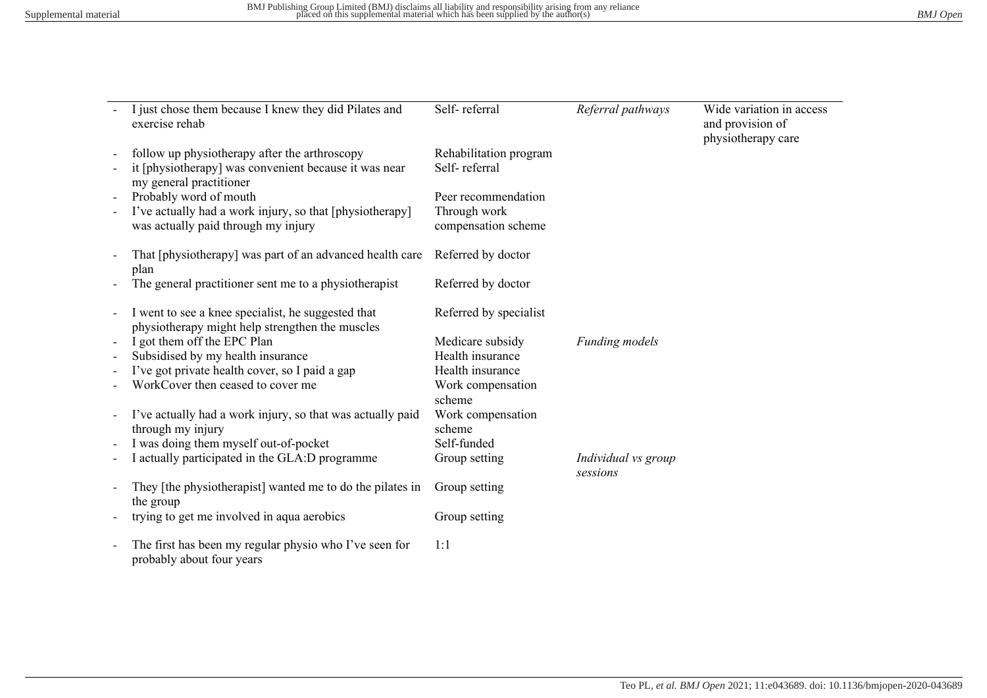| I just chose them because I knew they did Pilates and<br>exercise rehab                                                           | Self-referral                           | Referral pathways               | Wide variation in access<br>and provision of<br>physiotherapy care |
|-----------------------------------------------------------------------------------------------------------------------------------|-----------------------------------------|---------------------------------|--------------------------------------------------------------------|
| follow up physiotherapy after the arthroscopy<br>it [physiotherapy] was convenient because it was near<br>my general practitioner | Rehabilitation program<br>Self-referral |                                 |                                                                    |
| Probably word of mouth                                                                                                            | Peer recommendation                     |                                 |                                                                    |
| I've actually had a work injury, so that [physiotherapy]<br>was actually paid through my injury                                   | Through work<br>compensation scheme     |                                 |                                                                    |
| That [physiotherapy] was part of an advanced health care<br>plan                                                                  | Referred by doctor                      |                                 |                                                                    |
| The general practitioner sent me to a physiotherapist                                                                             | Referred by doctor                      |                                 |                                                                    |
| I went to see a knee specialist, he suggested that<br>physiotherapy might help strengthen the muscles                             | Referred by specialist                  |                                 |                                                                    |
| I got them off the EPC Plan                                                                                                       | Medicare subsidy                        | Funding models                  |                                                                    |
| Subsidised by my health insurance                                                                                                 | Health insurance                        |                                 |                                                                    |
| I've got private health cover, so I paid a gap                                                                                    | Health insurance                        |                                 |                                                                    |
| WorkCover then ceased to cover me                                                                                                 | Work compensation<br>scheme             |                                 |                                                                    |
| I've actually had a work injury, so that was actually paid<br>through my injury                                                   | Work compensation<br>scheme             |                                 |                                                                    |
| I was doing them myself out-of-pocket                                                                                             | Self-funded                             |                                 |                                                                    |
| I actually participated in the GLA:D programme                                                                                    | Group setting                           | Individual vs group<br>sessions |                                                                    |
| They [the physiotherapist] wanted me to do the pilates in<br>the group                                                            | Group setting                           |                                 |                                                                    |
| trying to get me involved in aqua aerobics                                                                                        | Group setting                           |                                 |                                                                    |
| The first has been my regular physio who I've seen for<br>probably about four years                                               | 1:1                                     |                                 |                                                                    |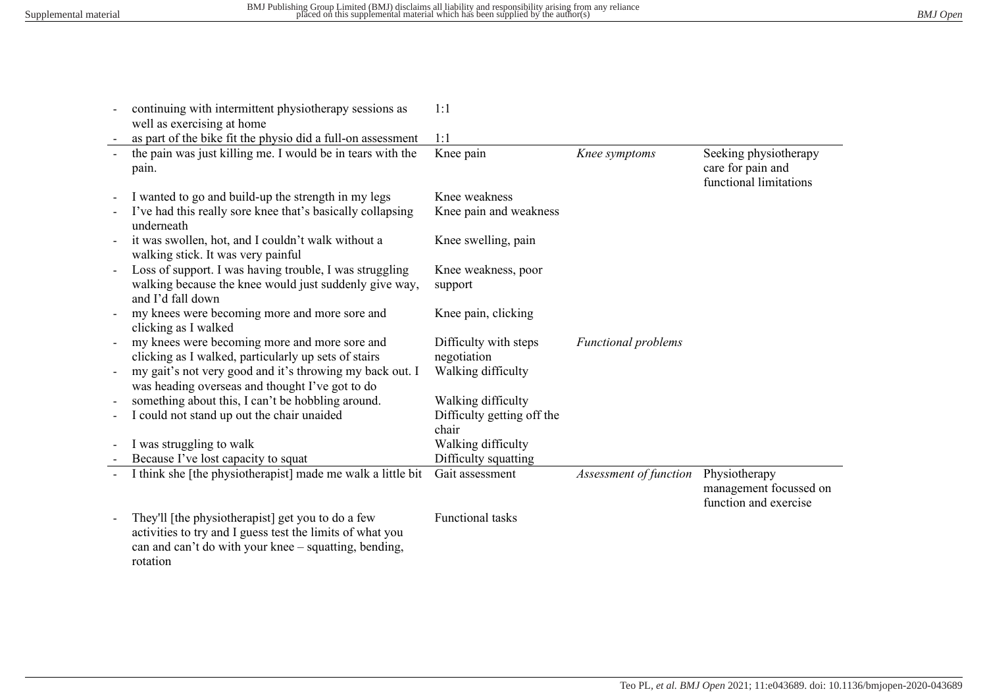| continuing with intermittent physiotherapy sessions as<br>well as exercising at home                                                                                                                                 | 1:1                                                        |                            |                                                                      |
|----------------------------------------------------------------------------------------------------------------------------------------------------------------------------------------------------------------------|------------------------------------------------------------|----------------------------|----------------------------------------------------------------------|
| as part of the bike fit the physio did a full-on assessment                                                                                                                                                          | 1:1                                                        |                            |                                                                      |
| the pain was just killing me. I would be in tears with the<br>pain.                                                                                                                                                  | Knee pain                                                  | Knee symptoms              | Seeking physiotherapy<br>care for pain and<br>functional limitations |
| I wanted to go and build-up the strength in my legs                                                                                                                                                                  | Knee weakness                                              |                            |                                                                      |
| I've had this really sore knee that's basically collapsing<br>underneath                                                                                                                                             | Knee pain and weakness                                     |                            |                                                                      |
| it was swollen, hot, and I couldn't walk without a<br>walking stick. It was very painful                                                                                                                             | Knee swelling, pain                                        |                            |                                                                      |
| Loss of support. I was having trouble, I was struggling<br>walking because the knee would just suddenly give way,<br>and I'd fall down                                                                               | Knee weakness, poor<br>support                             |                            |                                                                      |
| my knees were becoming more and more sore and<br>clicking as I walked                                                                                                                                                | Knee pain, clicking                                        |                            |                                                                      |
| my knees were becoming more and more sore and<br>clicking as I walked, particularly up sets of stairs<br>my gait's not very good and it's throwing my back out. I<br>was heading overseas and thought I've got to do | Difficulty with steps<br>negotiation<br>Walking difficulty | <b>Functional problems</b> |                                                                      |
| something about this, I can't be hobbling around.                                                                                                                                                                    | Walking difficulty                                         |                            |                                                                      |
| I could not stand up out the chair unaided                                                                                                                                                                           | Difficulty getting off the                                 |                            |                                                                      |
|                                                                                                                                                                                                                      | chair                                                      |                            |                                                                      |
| I was struggling to walk                                                                                                                                                                                             | Walking difficulty                                         |                            |                                                                      |
| Because I've lost capacity to squat                                                                                                                                                                                  | Difficulty squatting                                       |                            |                                                                      |
| I think she [the physiotherapist] made me walk a little bit                                                                                                                                                          | Gait assessment                                            | Assessment of function     | Physiotherapy<br>management focussed on<br>function and exercise     |
| They'll [the physiotherapist] get you to do a few<br>activities to try and I guess test the limits of what you<br>can and can't do with your knee – squatting, bending,<br>rotation                                  | Functional tasks                                           |                            |                                                                      |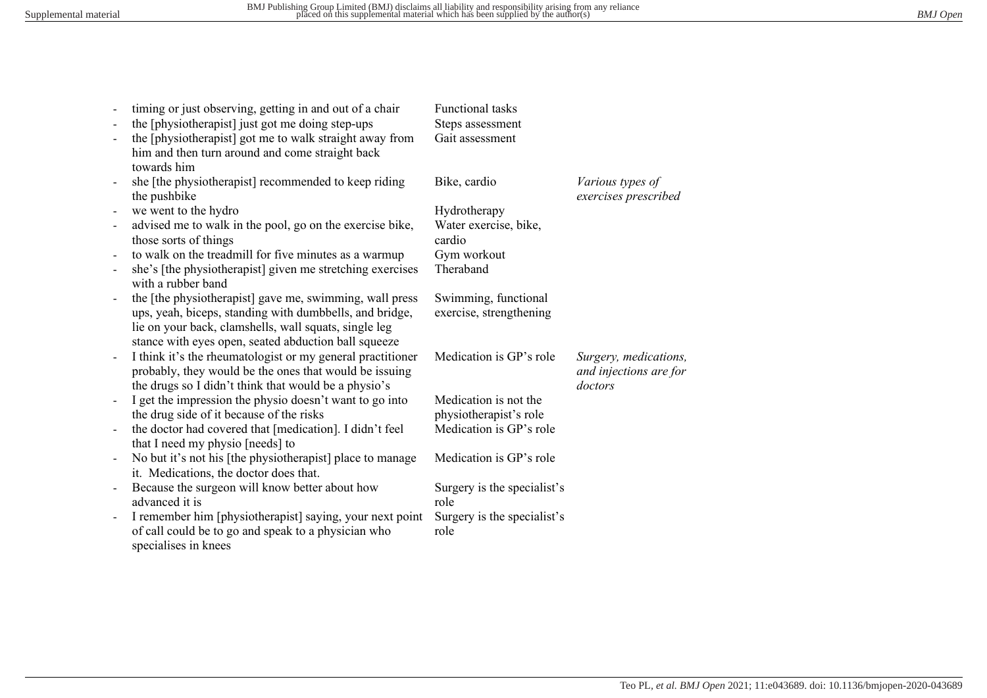|                          | timing or just observing, getting in and out of a chair    | Functional tasks            |                        |
|--------------------------|------------------------------------------------------------|-----------------------------|------------------------|
|                          | the [physiotherapist] just got me doing step-ups           | Steps assessment            |                        |
|                          | the [physiotherapist] got me to walk straight away from    | Gait assessment             |                        |
|                          | him and then turn around and come straight back            |                             |                        |
|                          | towards him                                                |                             |                        |
|                          | she [the physiotherapist] recommended to keep riding       | Bike, cardio                | Various types of       |
|                          | the pushbike                                               |                             | exercises prescribed   |
|                          | we went to the hydro                                       | Hydrotherapy                |                        |
| $\blacksquare$           | advised me to walk in the pool, go on the exercise bike,   | Water exercise, bike,       |                        |
|                          | those sorts of things                                      | cardio                      |                        |
| $\overline{\phantom{a}}$ | to walk on the treadmill for five minutes as a warmup      | Gym workout                 |                        |
| $\blacksquare$           | she's [the physiotherapist] given me stretching exercises  | Theraband                   |                        |
|                          | with a rubber band                                         |                             |                        |
| $\blacksquare$           | the [the physiotherapist] gave me, swimming, wall press    | Swimming, functional        |                        |
|                          | ups, yeah, biceps, standing with dumbbells, and bridge,    | exercise, strengthening     |                        |
|                          | lie on your back, clamshells, wall squats, single leg      |                             |                        |
|                          | stance with eyes open, seated abduction ball squeeze       |                             |                        |
| $\blacksquare$           | I think it's the rheumatologist or my general practitioner | Medication is GP's role     | Surgery, medications,  |
|                          | probably, they would be the ones that would be issuing     |                             | and injections are for |
|                          | the drugs so I didn't think that would be a physio's       |                             | doctors                |
| $\blacksquare$           | I get the impression the physio doesn't want to go into    | Medication is not the       |                        |
|                          | the drug side of it because of the risks                   | physiotherapist's role      |                        |
| $\blacksquare$           | the doctor had covered that [medication]. I didn't feel    | Medication is GP's role     |                        |
|                          | that I need my physio [needs] to                           |                             |                        |
| $\blacksquare$           | No but it's not his [the physiotherapist] place to manage  | Medication is GP's role     |                        |
|                          | it. Medications, the doctor does that.                     |                             |                        |
| $\overline{\phantom{a}}$ | Because the surgeon will know better about how             | Surgery is the specialist's |                        |
|                          | advanced it is                                             | role                        |                        |
| $\blacksquare$           | I remember him [physiotherapist] saying, your next point   | Surgery is the specialist's |                        |
|                          | of call could be to go and speak to a physician who        | role                        |                        |
|                          | specialises in knees                                       |                             |                        |
|                          |                                                            |                             |                        |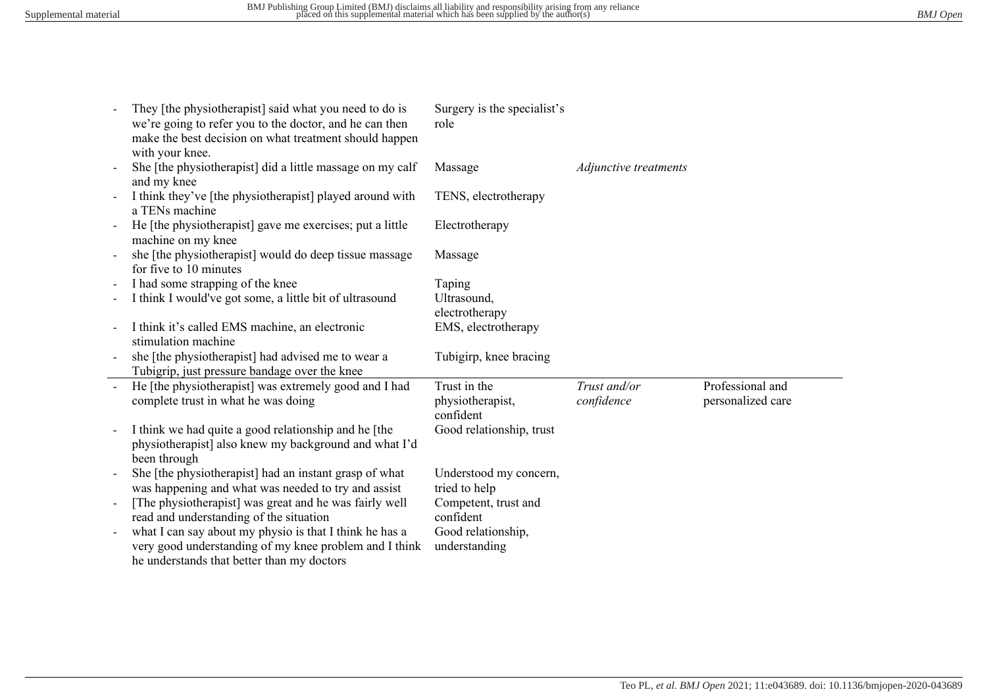|                | They [the physiotherapist] said what you need to do is<br>we're going to refer you to the doctor, and he can then<br>make the best decision on what treatment should happen<br>with your knee. | Surgery is the specialist's<br>role           |                            |                                       |
|----------------|------------------------------------------------------------------------------------------------------------------------------------------------------------------------------------------------|-----------------------------------------------|----------------------------|---------------------------------------|
|                | She [the physiotherapist] did a little massage on my calf<br>and my knee                                                                                                                       | Massage                                       | Adjunctive treatments      |                                       |
|                | I think they've [the physiotherapist] played around with<br>a TENs machine                                                                                                                     | TENS, electrotherapy                          |                            |                                       |
|                | He [the physiotherapist] gave me exercises; put a little<br>machine on my knee                                                                                                                 | Electrotherapy                                |                            |                                       |
|                | she [the physiotherapist] would do deep tissue massage<br>for five to 10 minutes                                                                                                               | Massage                                       |                            |                                       |
|                | I had some strapping of the knee                                                                                                                                                               | Taping                                        |                            |                                       |
|                | I think I would've got some, a little bit of ultrasound                                                                                                                                        | Ultrasound,<br>electrotherapy                 |                            |                                       |
|                | I think it's called EMS machine, an electronic<br>stimulation machine                                                                                                                          | EMS, electrotherapy                           |                            |                                       |
|                | she [the physiotherapist] had advised me to wear a<br>Tubigrip, just pressure bandage over the knee                                                                                            | Tubigirp, knee bracing                        |                            |                                       |
| $\mathbf{u}$   | He [the physiotherapist] was extremely good and I had<br>complete trust in what he was doing                                                                                                   | Trust in the<br>physiotherapist,<br>confident | Trust and/or<br>confidence | Professional and<br>personalized care |
|                | I think we had quite a good relationship and he [the<br>physiotherapist] also knew my background and what I'd<br>been through                                                                  | Good relationship, trust                      |                            |                                       |
|                | She [the physiotherapist] had an instant grasp of what<br>was happening and what was needed to try and assist                                                                                  | Understood my concern,<br>tried to help       |                            |                                       |
| $\blacksquare$ | [The physiotherapist] was great and he was fairly well<br>read and understanding of the situation                                                                                              | Competent, trust and<br>confident             |                            |                                       |
|                | what I can say about my physio is that I think he has a<br>very good understanding of my knee problem and I think<br>he understands that better than my doctors                                | Good relationship,<br>understanding           |                            |                                       |